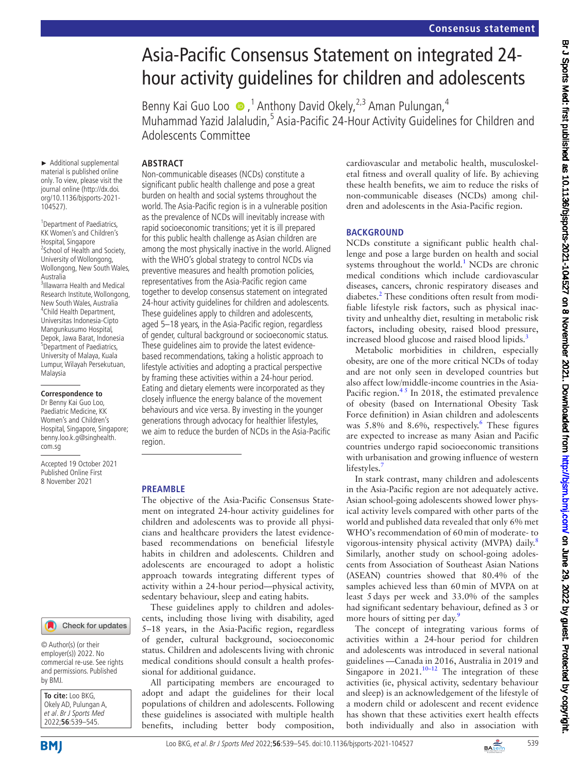# Asia-Pacific Consensus Statement on integrated 24 hour activity guidelines for children and adolescents

Benny Kai Guo Loo (D, <sup>1</sup> Anthony David Okely, <sup>2,3</sup> Aman Pulungan, <sup>4</sup> Muhammad Yazid Jalaludin,<sup>5</sup> Asia-Pacific 24-Hour Activity Guidelines for Children and Adolescents Committee

## **ABSTRACT**

► Additional supplemental material is published online only. To view, please visit the journal online ([http://dx.doi.](http://dx.doi.org/10.1136/bjsports-2021-104527) [org/10.1136/bjsports-2021-](http://dx.doi.org/10.1136/bjsports-2021-104527) [104527](http://dx.doi.org/10.1136/bjsports-2021-104527)).

<sup>1</sup> Department of Paediatrics, KK Women's and Children's Hospital, Singapore 2 School of Health and Society, University of Wollongong, Wollongong, New South Wales, Australia 3 Illawarra Health and Medical Research Institute, Wollongong, New South Wales, Australia 4 Child Health Department, Universitas Indonesia-Cipto Mangunkusumo Hospital, Depok, Jawa Barat, Indonesia 5 Department of Paediatrics, University of Malaya, Kuala Lumpur, Wilayah Persekutuan, Malaysia

#### **Correspondence to**

Dr Benny Kai Guo Loo, Paediatric Medicine, KK Women's and Children's Hospital, Singapore, Singapore; benny.loo.k.g@singhealth. com.sg

Accepted 19 October 2021 Published Online First 8 November 2021

#### Check for updates

© Author(s) (or their employer(s)) 2022. No commercial re-use. See rights and permissions. Published by BMJ.

| <b>To cite:</b> Loo BKG,<br>Okely AD, Pulungan A, |
|---------------------------------------------------|
| et al. Br J Sports Med                            |
| 2022;56:539-545.                                  |

Non-communicable diseases (NCDs) constitute a significant public health challenge and pose a great burden on health and social systems throughout the world. The Asia-Pacific region is in a vulnerable position as the prevalence of NCDs will inevitably increase with rapid socioeconomic transitions; yet it is ill prepared for this public health challenge as Asian children are among the most physically inactive in the world. Aligned with the WHO's global strategy to control NCDs via preventive measures and health promotion policies, representatives from the Asia-Pacific region came together to develop consensus statement on integrated 24-hour activity guidelines for children and adolescents. These guidelines apply to children and adolescents, aged 5–18 years, in the Asia-Pacific region, regardless of gender, cultural background or socioeconomic status. These guidelines aim to provide the latest evidencebased recommendations, taking a holistic approach to lifestyle activities and adopting a practical perspective by framing these activities within a 24-hour period. Eating and dietary elements were incorporated as they closely influence the energy balance of the movement behaviours and vice versa. By investing in the younger generations through advocacy for healthier lifestyles, we aim to reduce the burden of NCDs in the Asia-Pacific region.

#### **PREAMBLE**

The objective of the Asia-Pacific Consensus Statement on integrated 24-hour activity guidelines for children and adolescents was to provide all physicians and healthcare providers the latest evidencebased recommendations on beneficial lifestyle habits in children and adolescents. Children and adolescents are encouraged to adopt a holistic approach towards integrating different types of activity within a 24-hour period—physical activity, sedentary behaviour, sleep and eating habits.

These guidelines apply to children and adolescents, including those living with disability, aged 5–18 years, in the Asia-Pacific region, regardless of gender, cultural background, socioeconomic status. Children and adolescents living with chronic medical conditions should consult a health professional for additional guidance.

All participating members are encouraged to adopt and adapt the guidelines for their local populations of children and adolescents. Following these guidelines is associated with multiple health benefits, including better body composition,

cardiovascular and metabolic health, musculoskeletal fitness and overall quality of life. By achieving these health benefits, we aim to reduce the risks of non-communicable diseases (NCDs) among children and adolescents in the Asia-Pacific region.

#### **BACKGROUND**

NCDs constitute a significant public health challenge and pose a large burden on health and social systems throughout the world.<sup>[1](#page-5-0)</sup> NCDs are chronic medical conditions which include cardiovascular diseases, cancers, chronic respiratory diseases and diabetes.<sup>2</sup> These conditions often result from modifiable lifestyle risk factors, such as physical inactivity and unhealthy diet, resulting in metabolic risk factors, including obesity, raised blood pressure, increased blood glucose and raised blood lipids.<sup>[3](#page-5-2)</sup>

Metabolic morbidities in children, especially obesity, are one of the more critical NCDs of today and are not only seen in developed countries but also affect low/middle-income countries in the Asia-Pacific region. $4<sup>5</sup>$  In 2018, the estimated prevalence of obesity (based on International Obesity Task Force definition) in Asian children and adolescents was 5.8% and 8.[6](#page-5-4)%, respectively.<sup>6</sup> These figures are expected to increase as many Asian and Pacific countries undergo rapid socioeconomic transitions with urbanisation and growing influence of western lifestyles.

In stark contrast, many children and adolescents in the Asia-Pacific region are not adequately active. Asian school-going adolescents showed lower physical activity levels compared with other parts of the world and published data revealed that only 6% met WHO's recommendation of 60min of moderate- to vigorous-intensity physical activity (MVPA) daily.<sup>[8](#page-5-6)</sup> Similarly, another study on school-going adolescents from Association of Southeast Asian Nations (ASEAN) countries showed that 80.4% of the samples achieved less than 60min of MVPA on at least 5days per week and 33.0% of the samples had significant sedentary behaviour, defined as 3 or more hours of sitting per day.<sup>[9](#page-5-7)</sup>

The concept of integrating various forms of activities within a 24-hour period for children and adolescents was introduced in several national guidelines —Canada in 2016, Australia in 2019 and Singapore in  $2021$ .<sup>10–12</sup> The integration of these activities (ie, physical activity, sedentary behaviour and sleep) is an acknowledgement of the lifestyle of a modern child or adolescent and recent evidence has shown that these activities exert health effects both individually and also in association with

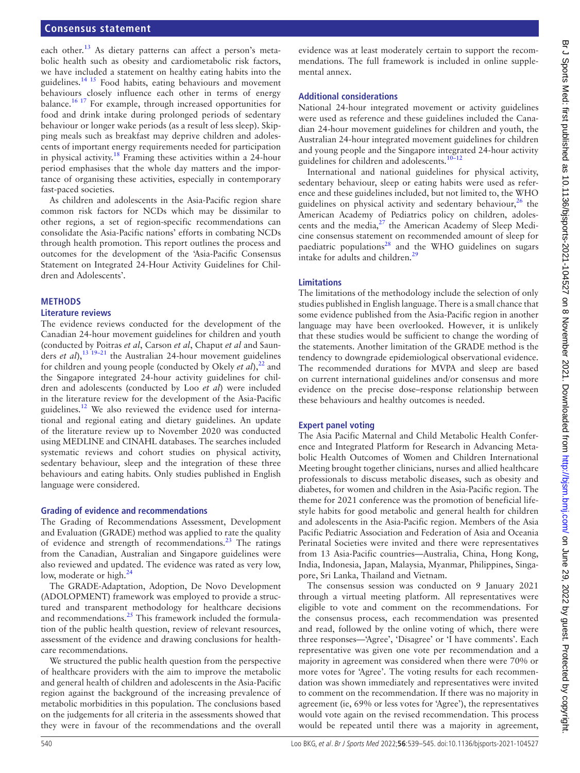#### **Consensus statement**

each other.<sup>[13](#page-5-9)</sup> As dietary patterns can affect a person's metabolic health such as obesity and cardiometabolic risk factors, we have included a statement on healthy eating habits into the guidelines.<sup>14 15</sup> Food habits, eating behaviours and movement behaviours closely influence each other in terms of energy balance.<sup>16 17</sup> For example, through increased opportunities for food and drink intake during prolonged periods of sedentary behaviour or longer wake periods (as a result of less sleep). Skipping meals such as breakfast may deprive children and adolescents of important energy requirements needed for participation in physical activity.<sup>[18](#page-5-12)</sup> Framing these activities within a 24-hour period emphasises that the whole day matters and the importance of organising these activities, especially in contemporary fast-paced societies.

As children and adolescents in the Asia-Pacific region share common risk factors for NCDs which may be dissimilar to other regions, a set of region-specific recommendations can consolidate the Asia-Pacific nations' efforts in combating NCDs through health promotion. This report outlines the process and outcomes for the development of the 'Asia-Pacific Consensus Statement on Integrated 24-Hour Activity Guidelines for Children and Adolescents'.

#### **METHODS**

#### **Literature reviews**

The evidence reviews conducted for the development of the Canadian 24-hour movement guidelines for children and youth (conducted by Poitras *et al*, Carson *et al*, Chaput *et al* and Saunders *et al*),[13 19–21](#page-5-9) the Australian 24-hour movement guidelines for children and young people (conducted by Okely *et al*),<sup>22</sup> and the Singapore integrated 24-hour activity guidelines for children and adolescents (conducted by Loo *et al*) were included in the literature review for the development of the Asia-Pacific guidelines.<sup>12</sup> We also reviewed the evidence used for international and regional eating and dietary guidelines. An update of the literature review up to November 2020 was conducted using MEDLINE and CINAHL databases. The searches included systematic reviews and cohort studies on physical activity, sedentary behaviour, sleep and the integration of these three behaviours and eating habits. Only studies published in English language were considered.

#### **Grading of evidence and recommendations**

The Grading of Recommendations Assessment, Development and Evaluation (GRADE) method was applied to rate the quality of evidence and strength of recommendations.<sup>[23](#page-5-15)</sup> The ratings from the Canadian, Australian and Singapore guidelines were also reviewed and updated. The evidence was rated as very low, low, moderate or high.<sup>[24](#page-5-16)</sup>

The GRADE-Adaptation, Adoption, De Novo Development (ADOLOPMENT) framework was employed to provide a structured and transparent methodology for healthcare decisions and recommendations.<sup>25</sup> This framework included the formulation of the public health question, review of relevant resources, assessment of the evidence and drawing conclusions for healthcare recommendations.

We structured the public health question from the perspective of healthcare providers with the aim to improve the metabolic and general health of children and adolescents in the Asia-Pacific region against the background of the increasing prevalence of metabolic morbidities in this population. The conclusions based on the judgements for all criteria in the assessments showed that they were in favour of the recommendations and the overall

evidence was at least moderately certain to support the recommendations. The full framework is included in [online supple](https://dx.doi.org/10.1136/bjsports-2021-104527)[mental annex.](https://dx.doi.org/10.1136/bjsports-2021-104527)

#### **Additional considerations**

National 24-hour integrated movement or activity guidelines were used as reference and these guidelines included the Canadian 24-hour movement guidelines for children and youth, the Australian 24-hour integrated movement guidelines for children and young people and the Singapore integrated 24-hour activity guidelines for children and adolescents.[10–12](#page-5-8)

International and national guidelines for physical activity, sedentary behaviour, sleep or eating habits were used as reference and these guidelines included, but not limited to, the WHO guidelines on physical activity and sedentary behaviour,  $26$  the American Academy of Pediatrics policy on children, adolescents and the media,<sup>27</sup> the American Academy of Sleep Medicine consensus statement on recommended amount of sleep for paediatric populations<sup>28</sup> and the WHO guidelines on sugars intake for adults and children[.29](#page-5-21)

#### **Limitations**

The limitations of the methodology include the selection of only studies published in English language. There is a small chance that some evidence published from the Asia-Pacific region in another language may have been overlooked. However, it is unlikely that these studies would be sufficient to change the wording of the statements. Another limitation of the GRADE method is the tendency to downgrade epidemiological observational evidence. The recommended durations for MVPA and sleep are based on current international guidelines and/or consensus and more evidence on the precise dose–response relationship between these behaviours and healthy outcomes is needed.

#### **Expert panel voting**

The Asia Pacific Maternal and Child Metabolic Health Conference and Integrated Platform for Research in Advancing Metabolic Health Outcomes of Women and Children International Meeting brought together clinicians, nurses and allied healthcare professionals to discuss metabolic diseases, such as obesity and diabetes, for women and children in the Asia-Pacific region. The theme for 2021 conference was the promotion of beneficial lifestyle habits for good metabolic and general health for children and adolescents in the Asia-Pacific region. Members of the Asia Pacific Pediatric Association and Federation of Asia and Oceania Perinatal Societies were invited and there were representatives from 13 Asia-Pacific countries—Australia, China, Hong Kong, India, Indonesia, Japan, Malaysia, Myanmar, Philippines, Singapore, Sri Lanka, Thailand and Vietnam.

The consensus session was conducted on 9 January 2021 through a virtual meeting platform. All representatives were eligible to vote and comment on the recommendations. For the consensus process, each recommendation was presented and read, followed by the online voting of which, there were three responses—'Agree', 'Disagree' or 'I have comments'. Each representative was given one vote per recommendation and a majority in agreement was considered when there were 70% or more votes for 'Agree'. The voting results for each recommendation was shown immediately and representatives were invited to comment on the recommendation. If there was no majority in agreement (ie, 69% or less votes for 'Agree'), the representatives would vote again on the revised recommendation. This process would be repeated until there was a majority in agreement,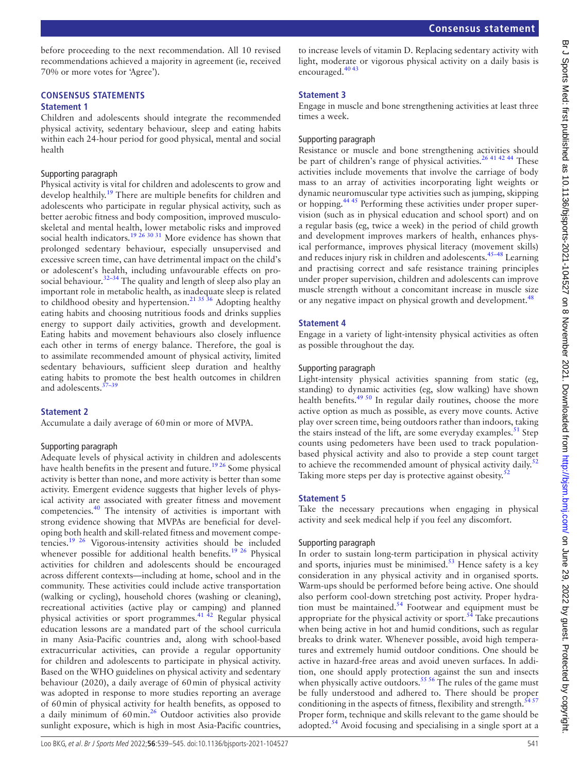before proceeding to the next recommendation. All 10 revised recommendations achieved a majority in agreement (ie, received 70% or more votes for 'Agree').

## **CONSENSUS STATEMENTS**

#### **Statement 1**

Children and adolescents should integrate the recommended physical activity, sedentary behaviour, sleep and eating habits within each 24-hour period for good physical, mental and social health

#### Supporting paragraph

Physical activity is vital for children and adolescents to grow and develop healthily.<sup>[19](#page-5-22)</sup> There are multiple benefits for children and adolescents who participate in regular physical activity, such as better aerobic fitness and body composition, improved musculoskeletal and mental health, lower metabolic risks and improved social health indicators.<sup>[19 26 30 31](#page-5-22)</sup> More evidence has shown that prolonged sedentary behaviour, especially unsupervised and excessive screen time, can have detrimental impact on the child's or adolescent's health, including unfavourable effects on prosocial behaviour.<sup>32-34</sup> The quality and length of sleep also play an important role in metabolic health, as inadequate sleep is related to childhood obesity and hypertension.<sup>21 35</sup> 36 Adopting healthy eating habits and choosing nutritious foods and drinks supplies energy to support daily activities, growth and development. Eating habits and movement behaviours also closely influence each other in terms of energy balance. Therefore, the goal is to assimilate recommended amount of physical activity, limited sedentary behaviours, sufficient sleep duration and healthy eating habits to promote the best health outcomes in children and adolescents.<sup>3</sup>

#### **Statement 2**

Accumulate a daily average of 60min or more of MVPA.

#### Supporting paragraph

Adequate levels of physical activity in children and adolescents have health benefits in the present and future.<sup>[19 26](#page-5-22)</sup> Some physical activity is better than none, and more activity is better than some activity. Emergent evidence suggests that higher levels of physical activity are associated with greater fitness and movement competencies[.40](#page-5-26) The intensity of activities is important with strong evidence showing that MVPAs are beneficial for developing both health and skill-related fitness and movement competencies.[19 26](#page-5-22) Vigorous-intensity activities should be included whenever possible for additional health benefits.<sup>19 26</sup> Physical activities for children and adolescents should be encouraged across different contexts—including at home, school and in the community. These activities could include active transportation (walking or cycling), household chores (washing or cleaning), recreational activities (active play or camping) and planned physical activities or sport programmes.[41 42](#page-5-27) Regular physical education lessons are a mandated part of the school curricula in many Asia-Pacific countries and, along with school-based extracurricular activities, can provide a regular opportunity for children and adolescents to participate in physical activity. Based on the WHO guidelines on physical activity and sedentary behaviour (2020), a daily average of 60min of physical activity was adopted in response to more studies reporting an average of 60min of physical activity for health benefits, as opposed to a daily minimum of 60min.<sup>26</sup> Outdoor activities also provide sunlight exposure, which is high in most Asia-Pacific countries,

to increase levels of vitamin D. Replacing sedentary activity with light, moderate or vigorous physical activity on a daily basis is encouraged.[40 43](#page-5-26)

#### **Statement 3**

Engage in muscle and bone strengthening activities at least three times a week.

#### Supporting paragraph

Resistance or muscle and bone strengthening activities should be part of children's range of physical activities.<sup>26 41 42 44</sup> These activities include movements that involve the carriage of body mass to an array of activities incorporating light weights or dynamic neuromuscular type activities such as jumping, skipping or hopping.[44 45](#page-5-28) Performing these activities under proper supervision (such as in physical education and school sport) and on a regular basis (eg, twice a week) in the period of child growth and development improves markers of health, enhances physical performance, improves physical literacy (movement skills) and reduces injury risk in children and adolescents.[45–48](#page-5-29) Learning and practising correct and safe resistance training principles under proper supervision, children and adolescents can improve muscle strength without a concomitant increase in muscle size or any negative impact on physical growth and development.<sup>48</sup>

#### **Statement 4**

Engage in a variety of light-intensity physical activities as often as possible throughout the day.

#### Supporting paragraph

Light-intensity physical activities spanning from static (eg, standing) to dynamic activities (eg, slow walking) have shown health benefits.<sup>49 50</sup> In regular daily routines, choose the more active option as much as possible, as every move counts. Active play over screen time, being outdoors rather than indoors, taking the stairs instead of the lift, are some everyday examples.<sup>[51](#page-5-32)</sup> Step counts using pedometers have been used to track populationbased physical activity and also to provide a step count target to achieve the recommended amount of physical activity daily.<sup>5</sup> Taking more steps per day is protective against obesity.<sup>[52](#page-6-0)</sup>

#### **Statement 5**

Take the necessary precautions when engaging in physical activity and seek medical help if you feel any discomfort.

#### Supporting paragraph

In order to sustain long-term participation in physical activity and sports, injuries must be minimised. $53$  Hence safety is a key consideration in any physical activity and in organised sports. Warm-ups should be performed before being active. One should also perform cool-down stretching post activity. Proper hydration must be maintained. $54$  Footwear and equipment must be appropriate for the physical activity or sport. $54$  Take precautions when being active in hot and humid conditions, such as regular breaks to drink water. Whenever possible, avoid high temperatures and extremely humid outdoor conditions. One should be active in hazard-free areas and avoid uneven surfaces. In addition, one should apply protection against the sun and insects when physically active outdoors.<sup>55 56</sup> The rules of the game must be fully understood and adhered to. There should be proper conditioning in the aspects of fitness, flexibility and strength. $5457$ Proper form, technique and skills relevant to the game should be adopted.<sup>[54](#page-6-2)</sup> Avoid focusing and specialising in a single sport at a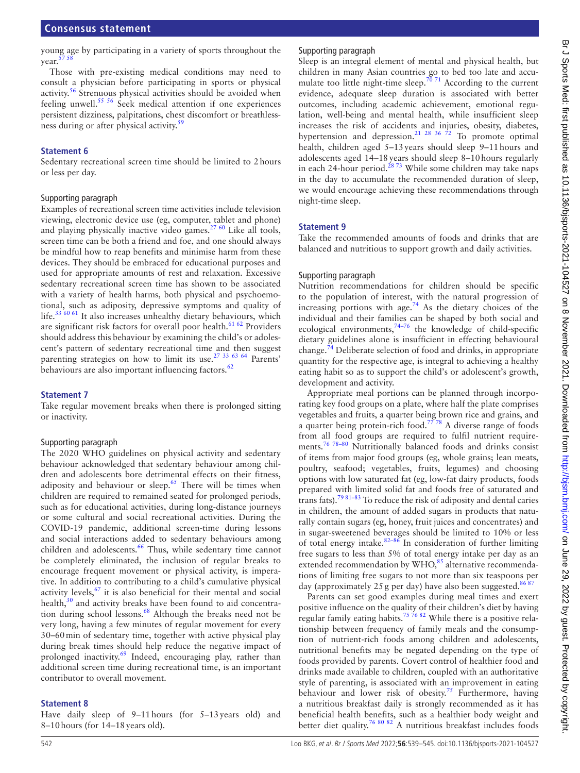young age by participating in a variety of sports throughout the year.

Those with pre-existing medical conditions may need to consult a physician before participating in sports or physical activity[.56](#page-6-5) Strenuous physical activities should be avoided when feeling unwell.<sup>55 56</sup> Seek medical attention if one experiences persistent dizziness, palpitations, chest discomfort or breathless-ness during or after physical activity.<sup>[59](#page-6-6)</sup>

#### **Statement 6**

Sedentary recreational screen time should be limited to 2hours or less per day.

#### Supporting paragraph

Examples of recreational screen time activities include television viewing, electronic device use (eg, computer, tablet and phone) and playing physically inactive video games.<sup>[27 60](#page-5-19)</sup> Like all tools, screen time can be both a friend and foe, and one should always be mindful how to reap benefits and minimise harm from these devices. They should be embraced for educational purposes and used for appropriate amounts of rest and relaxation. Excessive sedentary recreational screen time has shown to be associated with a variety of health harms, both physical and psychoemotional, such as adiposity, depressive symptoms and quality of life.<sup>[33 60 61](#page-5-33)</sup> It also increases unhealthy dietary behaviours, which are significant risk factors for overall poor health. $61 62$  Providers should address this behaviour by examining the child's or adolescent's pattern of sedentary recreational time and then suggest parenting strategies on how to limit its use.[27 33 63 64](#page-5-19) Parents' behaviours are also important influencing factors.<sup>62</sup>

#### **Statement 7**

Take regular movement breaks when there is prolonged sitting or inactivity.

#### Supporting paragraph

The 2020 WHO guidelines on physical activity and sedentary behaviour acknowledged that sedentary behaviour among children and adolescents bore detrimental effects on their fitness, adiposity and behaviour or sleep.<sup>65</sup> There will be times when children are required to remained seated for prolonged periods, such as for educational activities, during long-distance journeys or some cultural and social recreational activities. During the COVID-19 pandemic, additional screen-time during lessons and social interactions added to sedentary behaviours among children and adolescents.<sup>66</sup> Thus, while sedentary time cannot be completely eliminated, the inclusion of regular breaks to encourage frequent movement or physical activity, is imperative. In addition to contributing to a child's cumulative physical activity levels, $67$  it is also beneficial for their mental and social health,<sup>30</sup> and activity breaks have been found to aid concentra-tion during school lessons.<sup>[68](#page-6-12)</sup> Although the breaks need not be very long, having a few minutes of regular movement for every 30–60min of sedentary time, together with active physical play during break times should help reduce the negative impact of prolonged inactivity.<sup>[69](#page-6-13)</sup> Indeed, encouraging play, rather than additional screen time during recreational time, is an important contributor to overall movement.

#### **Statement 8**

Have daily sleep of 9–11hours (for 5–13years old) and 8–10hours (for 14–18years old).

## Supporting paragraph

Sleep is an integral element of mental and physical health, but children in many Asian countries go to bed too late and accu-mulate too little night-time sleep.<sup>[70 71](#page-6-14)</sup> According to the current evidence, adequate sleep duration is associated with better outcomes, including academic achievement, emotional regulation, well-being and mental health, while insufficient sleep increases the risk of accidents and injuries, obesity, diabetes, hypertension and depression.<sup>21</sup> <sup>28</sup> 36<sup> $72$ </sup> To promote optimal health, children aged 5–13years should sleep 9–11hours and adolescents aged 14–18years should sleep 8–10hours regularly in each 24-hour period.<sup>2873</sup> While some children may take naps in the day to accumulate the recommended duration of sleep, we would encourage achieving these recommendations through night-time sleep.

## **Statement 9**

Take the recommended amounts of foods and drinks that are balanced and nutritious to support growth and daily activities.

#### Supporting paragraph

Nutrition recommendations for children should be specific to the population of interest, with the natural progression of increasing portions with age.<sup>[74](#page-6-15)</sup> As the dietary choices of the individual and their families can be shaped by both social and ecological environments,  $74-76$  the knowledge of child-specific dietary guidelines alone is insufficient in effecting behavioural change.[74](#page-6-15) Deliberate selection of food and drinks, in appropriate quantity for the respective age, is integral to achieving a healthy eating habit so as to support the child's or adolescent's growth, development and activity.

Appropriate meal portions can be planned through incorporating key food groups on a plate, where half the plate comprises vegetables and fruits, a quarter being brown rice and grains, and a quarter being protein-rich food.<sup>7778</sup> A diverse range of foods from all food groups are required to fulfil nutrient requirements.[76 78–80](#page-6-17) Nutritionally balanced foods and drinks consist of items from major food groups (eg, whole grains; lean meats, poultry, seafood; vegetables, fruits, legumes) and choosing options with low saturated fat (eg, low-fat dairy products, foods prepared with limited solid fat and foods free of saturated and trans fats).<sup>79 81-83</sup> To reduce the risk of adiposity and dental caries in children, the amount of added sugars in products that naturally contain sugars (eg, honey, fruit juices and concentrates) and in sugar-sweetened beverages should be limited to 10% or less of total energy intake.  $82-86$  In consideration of further limiting free sugars to less than 5% of total energy intake per day as an extended recommendation by  $WHO<sub>5</sub><sup>85</sup>$  alternative recommendations of limiting free sugars to not more than six teaspoons per day (approximately 25 g per day) have also been suggested.<sup>868</sup>

Parents can set good examples during meal times and exert positive influence on the quality of their children's diet by having regular family eating habits.<sup>75 76</sup> 82 While there is a positive relationship between frequency of family meals and the consumption of nutrient-rich foods among children and adolescents, nutritional benefits may be negated depending on the type of foods provided by parents. Covert control of healthier food and drinks made available to children, coupled with an authoritative style of parenting, is associated with an improvement in eating behaviour and lower risk of obesity.<sup>75</sup> Furthermore, having a nutritious breakfast daily is strongly recommended as it has beneficial health benefits, such as a healthier body weight and better diet quality.<sup>76 80 82</sup> A nutritious breakfast includes foods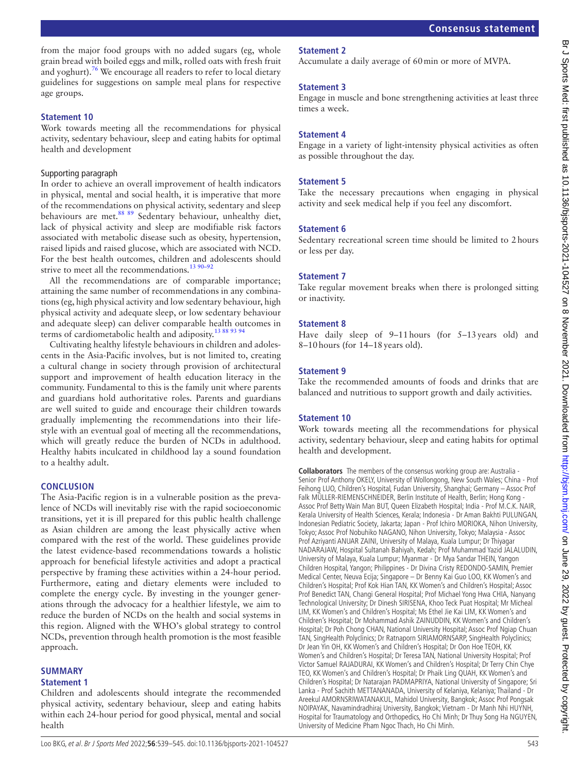from the major food groups with no added sugars (eg, whole grain bread with boiled eggs and milk, rolled oats with fresh fruit and yoghurt).<sup>76</sup> We encourage all readers to refer to local dietary guidelines for suggestions on sample meal plans for respective age groups.

#### **Statement 10**

Work towards meeting all the recommendations for physical activity, sedentary behaviour, sleep and eating habits for optimal health and development

#### Supporting paragraph

In order to achieve an overall improvement of health indicators in physical, mental and social health, it is imperative that more of the recommendations on physical activity, sedentary and sleep behaviours are met.<sup>88 89</sup> Sedentary behaviour, unhealthy diet, lack of physical activity and sleep are modifiable risk factors associated with metabolic disease such as obesity, hypertension, raised lipids and raised glucose, which are associated with NCD. For the best health outcomes, children and adolescents should strive to meet all the recommendations.<sup>13 90-92</sup>

All the recommendations are of comparable importance; attaining the same number of recommendations in any combinations (eg, high physical activity and low sedentary behaviour, high physical activity and adequate sleep, or low sedentary behaviour and adequate sleep) can deliver comparable health outcomes in terms of cardiometabolic health and adiposity[.13 88 93 94](#page-5-9)

Cultivating healthy lifestyle behaviours in children and adolescents in the Asia-Pacific involves, but is not limited to, creating a cultural change in society through provision of architectural support and improvement of health education literacy in the community. Fundamental to this is the family unit where parents and guardians hold authoritative roles. Parents and guardians are well suited to guide and encourage their children towards gradually implementing the recommendations into their lifestyle with an eventual goal of meeting all the recommendations, which will greatly reduce the burden of NCDs in adulthood. Healthy habits inculcated in childhood lay a sound foundation to a healthy adult.

#### **CONCLUSION**

The Asia-Pacific region is in a vulnerable position as the prevalence of NCDs will inevitably rise with the rapid socioeconomic transitions, yet it is ill prepared for this public health challenge as Asian children are among the least physically active when compared with the rest of the world. These guidelines provide the latest evidence-based recommendations towards a holistic approach for beneficial lifestyle activities and adopt a practical perspective by framing these activities within a 24-hour period. Furthermore, eating and dietary elements were included to complete the energy cycle. By investing in the younger generations through the advocacy for a healthier lifestyle, we aim to reduce the burden of NCDs on the health and social systems in this region. Aligned with the WHO's global strategy to control NCDs, prevention through health promotion is the most feasible approach.

Children and adolescents should integrate the recommended physical activity, sedentary behaviour, sleep and eating habits

#### **SUMMARY**

health

#### **Statement 1**

Senior Prof Anthony OKELY, University of Wollongong, New South Wales; China - Prof Feihong LUO, Children's Hospital, Fudan University, Shanghai; Germany – Assoc Prof Falk MÜLLER-RIEMENSCHNEIDER, Berlin Institute of Health, Berlin; Hong Kong -Assoc Prof Betty Wain Man BUT, Queen Elizabeth Hospital; India - Prof M.C.K. NAIR,

Kerala University of Health Sciences, Kerala; Indonesia - Dr Aman Bakhti PULUNGAN, Indonesian Pediatric Society, Jakarta; Japan - Prof Ichiro MORIOKA, Nihon University, Tokyo; Assoc Prof Nobuhiko NAGANO, Nihon University, Tokyo; Malaysia - Assoc Prof Azriyanti ANUAR ZAINI, University of Malaya, Kuala Lumpur; Dr Thiyagar NADARAJAW, Hospital Sultanah Bahiyah, Kedah; Prof Muhammad Yazid JALALUDIN, University of Malaya, Kuala Lumpur; Myanmar - Dr Mya Sandar THEIN, Yangon Children Hospital, Yangon; Philippines - Dr Divina Cristy REDONDO-SAMIN, Premier Medical Center, Neuva Ecija; Singapore – Dr Benny Kai Guo LOO, KK Women's and Children's Hospital; Prof Kok Hian TAN, KK Women's and Children's Hospital; Assoc Prof Benedict TAN, Changi General Hospital; Prof Michael Yong Hwa CHIA, Nanyang Technological University; Dr Dinesh SIRISENA, Khoo Teck Puat Hospital; Mr Micheal LIM, KK Women's and Children's Hospital; Ms Ethel Jie Kai LIM, KK Women's and Children's Hospital; Dr Mohammad Ashik ZAINUDDIN, KK Women's and Children's Hospital; Dr Poh Chong CHAN, National University Hospital; Assoc Prof Ngiap Chuan TAN, SingHealth Polyclinics; Dr Ratnaporn SIRIAMORNSARP, SingHealth Polyclinics; Dr Jean Yin OH, KK Women's and Children's Hospital; Dr Oon Hoe TEOH, KK Women's and Children's Hospital; Dr Teresa TAN, National University Hospital; Prof Victor Samuel RAJADURAI, KK Women's and Children's Hospital; Dr Terry Chin Chye TEO, KK Women's and Children's Hospital; Dr Phaik Ling QUAH, KK Women's and Children's Hospital; Dr Natarajan PADMAPRIYA, National University of Singapore; Sri Lanka - Prof Sachith METTANANADA, University of Kelaniya, Kelaniya; Thailand - Dr Areekul AMORNSRIWATANAKUL, Mahidol University, Bangkok; Assoc Prof Pongsak NOIPAYAK, Navamindradhiraj University, Bangkok; Vietnam - Dr Manh Nhi HUYNH, Hospital for Traumatology and Orthopedics, Ho Chi Minh; Dr Thuy Song Ha NGUYEN, University of Medicine Pham Ngoc Thach, Ho Chi Minh.

#### **Statement 2**

Accumulate a daily average of 60min or more of MVPA.

#### **Statement 3**

Engage in muscle and bone strengthening activities at least three times a week.

#### **Statement 4**

Engage in a variety of light-intensity physical activities as often as possible throughout the day.

#### **Statement 5**

Take the necessary precautions when engaging in physical activity and seek medical help if you feel any discomfort.

#### **Statement 6**

Sedentary recreational screen time should be limited to 2hours or less per day.

#### **Statement 7**

Take regular movement breaks when there is prolonged sitting or inactivity.

#### **Statement 8**

Have daily sleep of 9–11hours (for 5–13years old) and 8–10hours (for 14–18years old).

#### **Statement 9**

Take the recommended amounts of foods and drinks that are balanced and nutritious to support growth and daily activities.

#### **Statement 10**

Work towards meeting all the recommendations for physical activity, sedentary behaviour, sleep and eating habits for optimal health and development.

**Collaborators** The members of the consensus working group are: Australia -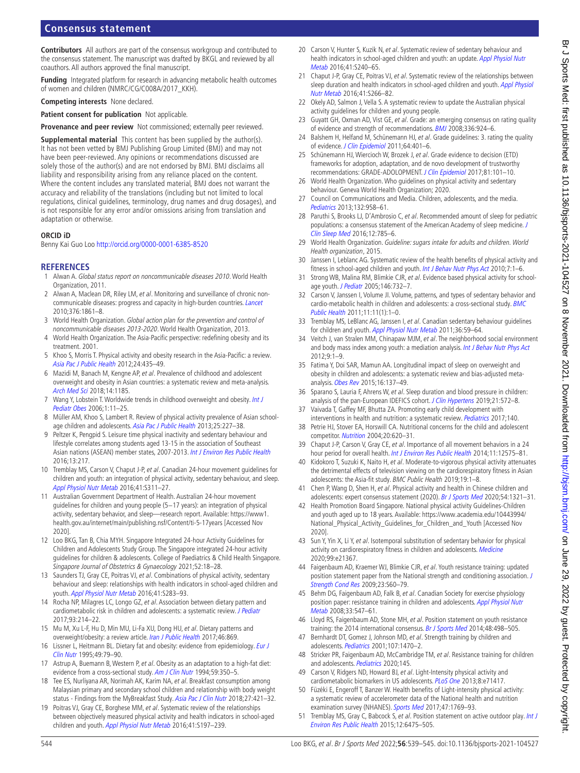## **Consensus statement**

**Contributors** All authors are part of the consensus workgroup and contributed to the consensus statement. The manuscript was drafted by BKGL and reviewed by all coauthors. All authors approved the final manuscript.

**Funding** Integrated platform for research in advancing metabolic health outcomes of women and children (NMRC/CG/C008A/2017\_KKH).

**Competing interests** None declared.

**Patient consent for publication** Not applicable.

**Provenance and peer review** Not commissioned; externally peer reviewed.

**Supplemental material** This content has been supplied by the author(s). It has not been vetted by BMJ Publishing Group Limited (BMJ) and may not have been peer-reviewed. Any opinions or recommendations discussed are solely those of the author(s) and are not endorsed by BMJ. BMJ disclaims all liability and responsibility arising from any reliance placed on the content. Where the content includes any translated material, BMJ does not warrant the accuracy and reliability of the translations (including but not limited to local regulations, clinical guidelines, terminology, drug names and drug dosages), and is not responsible for any error and/or omissions arising from translation and adaptation or otherwise.

#### **ORCID iD**

Benny Kai Guo Loo<http://orcid.org/0000-0001-6385-8520>

#### **REFERENCES**

- <span id="page-5-0"></span>1 Alwan A. Global status report on noncommunicable diseases 2010. World Health Organization, 2011.
- <span id="page-5-1"></span>2 Alwan A, Maclean DR, Riley LM, et al. Monitoring and surveillance of chronic noncommunicable diseases: progress and capacity in high-burden countries. [Lancet](http://dx.doi.org/10.1016/S0140-6736(10)61853-3) 2010;376:1861–8.
- <span id="page-5-2"></span>3 World Health Organization. Global action plan for the prevention and control of noncommunicable diseases 2013-2020. World Health Organization, 2013.
- <span id="page-5-3"></span>4 World Health Organization. The Asia-Pacific perspective: redefining obesity and its treatment. 2001.
- 5 Khoo S, Morris T. Physical activity and obesity research in the Asia-Pacific: a review. [Asia Pac J Public Health](http://dx.doi.org/10.1177/1010539512446368) 2012;24:435–49.
- <span id="page-5-4"></span>6 Mazidi M, Banach M, Kengne AP, et al. Prevalence of childhood and adolescent overweight and obesity in Asian countries: a systematic review and meta-analysis. [Arch Med Sci](http://dx.doi.org/10.5114/aoms.2018.79001) 2018;14:1185.
- <span id="page-5-5"></span>7 Wang Y, Lobstein T. Worldwide trends in childhood overweight and obesity. Int J [Pediatr Obes](http://dx.doi.org/10.1080/17477160600586747) 2006;1:11–25.
- <span id="page-5-6"></span>8 Müller AM, Khoo S, Lambert R. Review of physical activity prevalence of Asian school-age children and adolescents. [Asia Pac J Public Health](http://dx.doi.org/10.1177/1010539513481494) 2013;25:227-38.
- <span id="page-5-7"></span>9 Peltzer K, Pengpid S. Leisure time physical inactivity and sedentary behaviour and lifestyle correlates among students aged 13-15 in the association of Southeast Asian nations (ASEAN) member states, 2007-2013. [Int J Environ Res Public Health](http://dx.doi.org/10.3390/ijerph13020217) 2016;13:217.
- <span id="page-5-8"></span>10 Tremblay MS, Carson V, Chaput J-P, et al. Canadian 24-hour movement guidelines for children and youth: an integration of physical activity, sedentary behaviour, and sleep. [Appl Physiol Nutr Metab](http://dx.doi.org/10.1139/apnm-2016-0151) 2016;41:S311–27.
- 11 Australian Government Department of Health. Australian 24-hour movement guidelines for children and young people (5-17 years): an integration of physical activity, sedentary behavior, and sleep—research report. Available: [https://www1.](https://www1.health.gov.au/internet/main/publishing.nsf/Content/ti-5-17years) [health.gov.au/internet/main/publishing.nsf/Content/ti-5-17years](https://www1.health.gov.au/internet/main/publishing.nsf/Content/ti-5-17years) [Accessed Nov 2020].
- <span id="page-5-14"></span>12 Loo BKG, Tan B, Chia MYH. Singapore Integrated 24-hour Activity Guidelines for Children and Adolescents Study Group. The Singapore integrated 24-hour activity guidelines for children & adolescents. College of Paediatrics & Child Health Singapore. Singapore Journal of Obstetrics & Gynaecology 2021;52:18–28.
- <span id="page-5-9"></span>13 Saunders TJ, Gray CE, Poitras VJ, et al. Combinations of physical activity, sedentary behaviour and sleep: relationships with health indicators in school-aged children and youth. [Appl Physiol Nutr Metab](http://dx.doi.org/10.1139/apnm-2015-0626) 2016;41:S283–93.
- <span id="page-5-10"></span>14 Rocha NP, Milagres LC, Longo GZ, et al. Association between dietary pattern and cardiometabolic risk in children and adolescents: a systematic review. *[J Pediatr](http://dx.doi.org/10.1016/j.jped.2017.01.002)* 2017;93:214–22.
- 15 Mu M, Xu L-F, Hu D, Min MU, Li-Fa XU, Dong HU, et al. Dietary patterns and overweight/obesity: a review article. [Iran J Public Health](http://www.ncbi.nlm.nih.gov/pubmed/28845396) 2017;46:869.
- <span id="page-5-11"></span>16 Lissner L, Heitmann BL. Dietary fat and obesity: evidence from epidemiology. Eur J [Clin Nutr](http://www.ncbi.nlm.nih.gov/pubmed/7743988) 1995;49:79–90.
- 17 Astrup A, Buemann B, Western P, et al. Obesity as an adaptation to a high-fat diet: evidence from a cross-sectional study. [Am J Clin Nutr](http://dx.doi.org/10.1093/ajcn/59.2.350) 1994;59:350-5.
- <span id="page-5-12"></span>18 Tee ES, Nurliyana AR, Norimah AK, Karim NA, et al. Breakfast consumption among Malaysian primary and secondary school children and relationship with body weight status - Findings from the MyBreakfast Study. [Asia Pac J Clin Nutr](http://dx.doi.org/10.6133/apjcn.062017.12) 2018;27:421-32.
- <span id="page-5-22"></span>19 Poitras VJ, Gray CE, Borghese MM, et al. Systematic review of the relationships between objectively measured physical activity and health indicators in school-aged children and youth. [Appl Physiol Nutr Metab](http://dx.doi.org/10.1139/apnm-2015-0663) 2016;41:S197-239.
- 20 Carson V, Hunter S, Kuzik N, et al. Systematic review of sedentary behaviour and health indicators in school-aged children and youth: an update. Appl Physiol Nutr [Metab](http://dx.doi.org/10.1139/apnm-2015-0630) 2016;41:S240–65.
- <span id="page-5-24"></span>21 Chaput J-P, Gray CE, Poitras VJ, et al. Systematic review of the relationships between sleep duration and health indicators in school-aged children and youth. Appl Physiol [Nutr Metab](http://dx.doi.org/10.1139/apnm-2015-0627) 2016;41:S266–82.
- <span id="page-5-13"></span>22 Okely AD, Salmon J, Vella S. A systematic review to update the Australian physical activity guidelines for children and young people.
- <span id="page-5-15"></span>23 Guyatt GH, Oxman AD, Vist GE, et al. Grade: an emerging consensus on rating quality of evidence and strength of recommendations. [BMJ](http://dx.doi.org/10.1136/bmj.39489.470347.AD) 2008;336:924–6.
- <span id="page-5-16"></span>24 Balshem H, Helfand M, Schünemann HJ, et al. Grade guidelines: 3. rating the quality of evidence. [J Clin Epidemiol](http://dx.doi.org/10.1016/j.jclinepi.2010.07.015) 2011;64:401-6.
- <span id="page-5-17"></span>25 Schünemann HJ, Wiercioch W, Brozek J, et al. Grade evidence to decision (ETD) frameworks for adoption, adaptation, and de novo development of trustworthy recommendations: GRADE-ADOLOPMENT. [J Clin Epidemiol](http://dx.doi.org/10.1016/j.jclinepi.2016.09.009) 2017;81:101–10.
- <span id="page-5-18"></span>26 World Health Organization. Who guidelines on physical activity and sedentary behaviour. Geneva World Health Organization; 2020.
- <span id="page-5-19"></span>27 Council on Communications and Media. Children, adolescents, and the media. [Pediatrics](http://dx.doi.org/10.1542/peds.2013-2656) 2013;132:958–61.
- <span id="page-5-20"></span>28 Paruthi S, Brooks LJ, D'Ambrosio C, et al. Recommended amount of sleep for pediatric populations: a consensus statement of the American Academy of sleep medicine. [J](http://dx.doi.org/10.5664/jcsm.5866)  [Clin Sleep Med](http://dx.doi.org/10.5664/jcsm.5866) 2016;12:785–6.
- <span id="page-5-21"></span>29 World Health Organization. Guideline: sugars intake for adults and children. World Health organization, 2015.
- <span id="page-5-34"></span>30 Janssen I, Leblanc AG. Systematic review of the health benefits of physical activity and fitness in school-aged children and youth. [Int J Behav Nutr Phys Act](http://dx.doi.org/10.1186/1479-5868-7-40) 2010;7:1-6.
- 31 Strong WB, Malina RM, Blimkie CJR, et al. Evidence based physical activity for schoolage youth. *[J Pediatr](http://dx.doi.org/10.1016/j.jpeds.2005.01.055)* 2005:146:732-7.
- <span id="page-5-23"></span>32 Carson V, Janssen I, Volume JI. Volume, patterns, and types of sedentary behavior and cardio-metabolic health in children and adolescents: a cross-sectional study. [BMC](http://dx.doi.org/10.1186/1471-2458-11-274)  [Public Health](http://dx.doi.org/10.1186/1471-2458-11-274) 2011;11:11(1):1–0.
- <span id="page-5-33"></span>33 Tremblay MS, LeBlanc AG, Janssen I, et al. Canadian sedentary behaviour guidelines for children and youth. [Appl Physiol Nutr Metab](http://dx.doi.org/10.1139/H11-012) 2011;36:59-64.
- 34 Veitch J, van Stralen MM, Chinapaw MJM, et al. The neighborhood social environment and body mass index among youth: a mediation analysis. [Int J Behav Nutr Phys Act](http://dx.doi.org/10.1186/1479-5868-9-31)  $2012.9.1 - 9$
- 35 Fatima Y, Doi SAR, Mamun AA. Longitudinal impact of sleep on overweight and obesity in children and adolescents: a systematic review and bias-adjusted metaanalysis. [Obes Rev](http://dx.doi.org/10.1111/obr.12245) 2015;16:137–49.
- 36 Sparano S, Lauria F, Ahrens W, et al. Sleep duration and blood pressure in children: analysis of the pan-European IDEFICS cohort. [J Clin Hypertens](http://dx.doi.org/10.1111/jch.13520) 2019;21:572-8.
- <span id="page-5-25"></span>37 Vaivada T, Gaffey MF, Bhutta ZA. Promoting early child development with interventions in health and nutrition: a systematic review. [Pediatrics](http://dx.doi.org/10.1542/peds.2016-4308) 2017;140.
- 38 Petrie HJ, Stover EA, Horswill CA. Nutritional concerns for the child and adolescent competitor. [Nutrition](http://dx.doi.org/10.1016/j.nut.2004.04.002) 2004;20:620–31.
- 39 Chaput J-P, Carson V, Gray CE, et al. Importance of all movement behaviors in a 24 hour period for overall health. [Int J Environ Res Public Health](http://dx.doi.org/10.3390/ijerph111212575) 2014;11:12575-81.
- <span id="page-5-26"></span>40 Kidokoro T, Suzuki K, Naito H, et al. Moderate-to-vigorous physical activity attenuates the detrimental effects of television viewing on the cardiorespiratory fitness in Asian adolescents: the Asia-fit study. BMC Public Health 2019;19:1–8.
- <span id="page-5-27"></span>41 Chen P, Wang D, Shen H, et al. Physical activity and health in Chinese children and adolescents: expert consensus statement (2020). [Br J Sports Med](http://dx.doi.org/10.1136/bjsports-2020-102261) 2020;54:1321–31.
- 42 Health Promotion Board Singapore. National physical activity Guidelines-Children and youth aged up to 18 years. Available: [https://www.academia.edu/10443994/](https://www.academia.edu/10443994/National_Physical_Activity_Guidelines_for_Children_and_Youth) National Physical Activity Guidelines for Children and Youth [Accessed Nov 2020].
- 43 Sun Y, Yin X, Li Y, et al. Isotemporal substitution of sedentary behavior for physical activity on cardiorespiratory fitness in children and adolescents. [Medicine](http://dx.doi.org/10.1097/MD.0000000000021367) 2020;99:e21367.
- <span id="page-5-28"></span>44 Faigenbaum AD, Kraemer WJ, Blimkie CJR, et al. Youth resistance training: updated position statement paper from the National strength and conditioning association. [J](http://dx.doi.org/10.1519/JSC.0b013e31819df407)  [Strength Cond Res](http://dx.doi.org/10.1519/JSC.0b013e31819df407) 2009;23:S60–79.
- <span id="page-5-29"></span>45 Behm DG, Faigenbaum AD, Falk B, et al. Canadian Society for exercise physiology position paper: resistance training in children and adolescents. Appl Physiol Nutr [Metab](http://dx.doi.org/10.1139/H08-020) 2008;33:547–61.
- 46 Lloyd RS, Faigenbaum AD, Stone MH, et al. Position statement on youth resistance training: the 2014 international consensus. [Br J Sports Med](http://dx.doi.org/10.1136/bjsports-2013-092952) 2014;48:498-505.
- 47 Bernhardt DT, Gomez J, Johnson MD, et al. Strength training by children and adolescents. [Pediatrics](http://dx.doi.org/10.1542/peds.107.6.1470) 2001;107:1470-2.
- <span id="page-5-30"></span>48 Stricker PR, Faigenbaum AD, McCambridge TM, et al. Resistance training for children and adolescents. [Pediatrics](http://dx.doi.org/10.1542/peds.2020-1011) 2020;145.
- <span id="page-5-31"></span>49 Carson V, Ridgers ND, Howard BJ, et al. Light-Intensity physical activity and cardiometabolic biomarkers in US adolescents. [PLoS One](http://dx.doi.org/10.1371/journal.pone.0071417) 2013;8:e71417.
- 50 Füzéki E, Engeroff T, Banzer W. Health benefits of Light-intensity physical activity: a systematic review of accelerometer data of the National health and nutrition examination survey (NHANES). [Sports Med](http://dx.doi.org/10.1007/s40279-017-0724-0) 2017;47:1769-93.
- <span id="page-5-32"></span>51 Tremblay MS, Gray C, Babcock S, et al. Position statement on active outdoor play. Int J [Environ Res Public Health](http://dx.doi.org/10.3390/ijerph120606475) 2015;12:6475–505.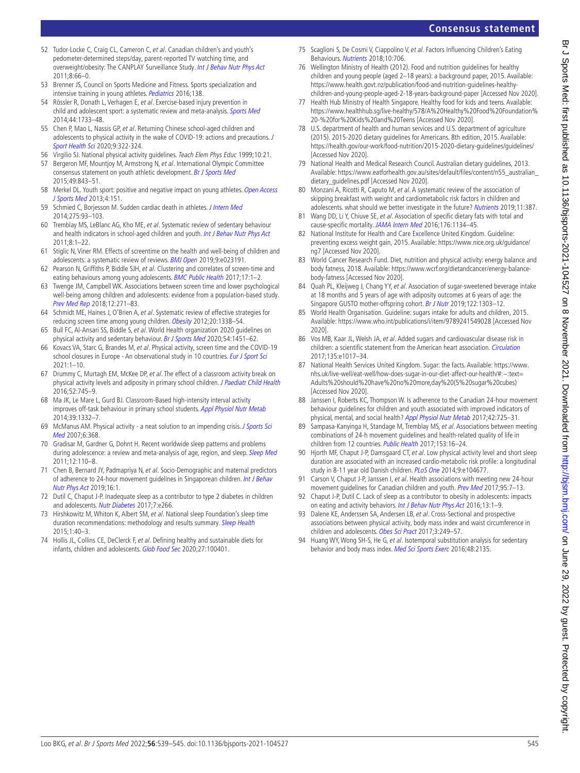- <span id="page-6-22"></span><span id="page-6-18"></span><span id="page-6-17"></span><span id="page-6-16"></span>[Accessed Nov 2020]. 79 National Health and Medical Research Council. Australian dietary guidelines, 2013. Available: [https://www.eatforhealth.gov.au/sites/default/files/content/n55\\_australian\\_](https://www.eatforhealth.gov.au/sites/default/files/content/n55_australian_dietary_guidelines.pdf) [dietary\\_guidelines.pdf](https://www.eatforhealth.gov.au/sites/default/files/content/n55_australian_dietary_guidelines.pdf) [Accessed Nov 2020].
- 80 Monzani A, Ricotti R, Caputo M, et al. A systematic review of the association of skipping breakfast with weight and cardiometabolic risk factors in children and adolescents. what should we better investigate in the future? [Nutrients](http://dx.doi.org/10.3390/nu11020387) 2019;11:387.
- 81 Wang DD, Li Y, Chiuve SE, et al. Association of specific dietary fats with total and cause-specific mortality. [JAMA Intern Med](http://dx.doi.org/10.1001/jamainternmed.2016.2417) 2016;176:1134-45.
- <span id="page-6-19"></span>82 National Institute for Health and Care Excellence United Kingdom. Guideline: preventing excess weight gain, 2015. Available: [https://www.nice.org.uk/guidance/](https://www.nice.org.uk/guidance/ng7) [ng7](https://www.nice.org.uk/guidance/ng7) [Accessed Nov 2020].
- World Cancer Research Fund. Diet, nutrition and physical activity: energy balance and body fatness, 2018. Available: [https://www.wcrf.org/dietandcancer/energy-balance](https://www.wcrf.org/dietandcancer/energy-balance-body-fatness)[body-fatness](https://www.wcrf.org/dietandcancer/energy-balance-body-fatness) [Accessed Nov 2020].
- 84 Quah PL, Kleijweg J, Chang YY, et al. Association of sugar-sweetened beverage intake at 18 months and 5 years of age with adiposity outcomes at 6 years of age: the Singapore GUSTO mother-offspring cohort. [Br J Nutr](http://dx.doi.org/10.1017/S0007114519002253) 2019;122:1303-12.
- <span id="page-6-20"></span>85 World Health Organisation. Guideline: sugars intake for adults and children, 2015. Available:<https://www.who.int/publications/i/item/9789241549028>[Accessed Nov 2020].
- <span id="page-6-21"></span>86 Vos MB, Kaar JL, Welsh JA, et al. Added sugars and cardiovascular disease risk in children: a scientific statement from the American heart association. [Circulation](http://dx.doi.org/10.1161/CIR.0000000000000439) 2017;135:e1017–34.
- 87 National Health Services United Kingdom. Sugar: the facts. Available: [https://www.](https://www.nhs.uk/live-well/eat-well/how-does-sugar-in-our-diet-affect-our-health/#:~:text=Adults%20should%20have%20no%20more,day%20(5%20sugar%20cubes)) [nhs.uk/live-well/eat-well/how-does-sugar-in-our-diet-affect-our-health/#:~:text=](https://www.nhs.uk/live-well/eat-well/how-does-sugar-in-our-diet-affect-our-health/#:~:text=Adults%20should%20have%20no%20more,day%20(5%20sugar%20cubes)) [Adults%20should%20have%20no%20more,day%20\(5%20sugar%20cubes\)](https://www.nhs.uk/live-well/eat-well/how-does-sugar-in-our-diet-affect-our-health/#:~:text=Adults%20should%20have%20no%20more,day%20(5%20sugar%20cubes))  [Accessed Nov 2020].
- <span id="page-6-23"></span>88 Janssen I, Roberts KC, Thompson W. Is adherence to the Canadian 24-hour movement behaviour guidelines for children and youth associated with improved indicators of physical, mental, and social health? [Appl Physiol Nutr Metab](http://dx.doi.org/10.1139/apnm-2016-0681) 2017;42:725-31.
- 89 Sampasa-Kanyinga H, Standage M, Tremblay MS, et al. Associations between meeting combinations of 24-h movement guidelines and health-related quality of life in children from 12 countries. [Public Health](http://dx.doi.org/10.1016/j.puhe.2017.07.010) 2017;153:16-24.
- 90 Hjorth MF, Chaput J-P, Damsgaard CT, et al. Low physical activity level and short sleep duration are associated with an increased cardio-metabolic risk profile: a longitudinal study in 8-11 year old Danish children. [PLoS One](http://dx.doi.org/10.1371/journal.pone.0104677) 2014;9:e104677.
- 91 Carson V, Chaput J-P, Janssen I, et al. Health associations with meeting new 24-hour movement guidelines for Canadian children and youth. [Prev Med](http://dx.doi.org/10.1016/j.ypmed.2016.12.005) 2017;95:7-13.
- 92 Chaput J-P, Dutil C. Lack of sleep as a contributor to obesity in adolescents: impacts on eating and activity behaviors. [Int J Behav Nutr Phys Act](http://dx.doi.org/10.1186/s12966-016-0428-0) 2016;13:1-9.
- 93 Dalene KE, Anderssen SA, Andersen LB, et al. Cross-Sectional and prospective associations between physical activity, body mass index and waist circumference in children and adolescents. [Obes Sci Pract](http://dx.doi.org/10.1002/osp4.114) 2017;3:249–57.
- 94 Huang WY, Wong SH-S, He G, et al. Isotemporal substitution analysis for sedentary behavior and body mass index. [Med Sci Sports Exerc](http://dx.doi.org/10.1249/MSS.0000000000001002) 2016;48:2135.
- <span id="page-6-0"></span>52 Tudor-Locke C, Craig CL, Cameron C, et al. Canadian children's and youth's pedometer-determined steps/day, parent-reported TV watching time, and overweight/obesity: The CANPLAY Surveillance Study. [Int J Behav Nutr Phys Act](http://dx.doi.org/10.1186/1479-5868-8-66) 2011;8:66–0.
- <span id="page-6-1"></span>53 Brenner JS, Council on Sports Medicine and Fitness. Sports specialization and intensive training in young athletes. [Pediatrics](http://dx.doi.org/10.1542/peds.2016-2148) 2016;138.
- <span id="page-6-2"></span>54 Rössler R, Donath L, Verhagen E, et al. Exercise-based injury prevention in child and adolescent sport: a systematic review and meta-analysis. [Sports Med](http://dx.doi.org/10.1007/s40279-014-0234-2) 2014;44:1733–48.
- <span id="page-6-3"></span>55 Chen P, Mao L, Nassis GP, et al. Returning Chinese school-aged children and adolescents to physical activity in the wake of COVID-19: actions and precautions. J [Sport Health Sci](http://dx.doi.org/10.1016/j.jshs.2020.04.003) 2020;9:322-324.
- <span id="page-6-5"></span>56 Virgilio SJ. National physical activity guidelines. Teach Elem Phys Educ 1999;10:21.
- <span id="page-6-4"></span>57 Bergeron MF, Mountjoy M, Armstrong N, et al. International Olympic Committee consensus statement on youth athletic development. [Br J Sports Med](http://dx.doi.org/10.1136/bjsports-2015-094962) 2015;49:843–51.
- 58 Merkel DL. Youth sport: positive and negative impact on young athletes. Open Access [J Sports Med](http://dx.doi.org/10.2147/OAJSM.S33556) 2013;4:151.
- <span id="page-6-6"></span>59 Schmied C, Borjesson M. Sudden cardiac death in athletes. [J Intern Med](http://dx.doi.org/10.1111/joim.12184) 2014;275:93–103.
- 60 Tremblay MS, LeBlanc AG, Kho ME, et al. Systematic review of sedentary behaviour and health indicators in school-aged children and youth. [Int J Behav Nutr Phys Act](http://dx.doi.org/10.1186/1479-5868-8-98) 2011;8:1–22.
- <span id="page-6-7"></span>61 Stiglic N, Viner RM. Effects of screentime on the health and well-being of children and adolescents: a systematic review of reviews. [BMJ Open](http://dx.doi.org/10.1136/bmjopen-2018-023191) 2019;9:e023191.
- <span id="page-6-8"></span>62 Pearson N, Griffiths P, Biddle SJH, et al. Clustering and correlates of screen-time and eating behaviours among young adolescents. [BMC Public Health](http://dx.doi.org/10.1186/s12889-017-4441-2) 2017;17:1-2.
- 63 Twenge JM, Campbell WK. Associations between screen time and lower psychological well-being among children and adolescents: evidence from a population-based study. [Prev Med Rep](http://dx.doi.org/10.1016/j.pmedr.2018.10.003) 2018;12:271–83.
- 64 Schmidt ME, Haines J, O'Brien A, et al. Systematic review of effective strategies for reducing screen time among young children. [Obesity](http://dx.doi.org/10.1038/oby.2011.348) 2012;20:1338-54.
- <span id="page-6-9"></span>65 Bull FC, Al-Ansari SS, Biddle S, et al. World Health organization 2020 guidelines on physical activity and sedentary behaviour. [Br J Sports Med](http://dx.doi.org/10.1136/bjsports-2020-102955) 2020;54:1451-62.
- <span id="page-6-10"></span>66 Kovacs VA, Starc G, Brandes M, et al. Physical activity, screen time and the COVID-19 school closures in Europe - An observational study in 10 countries. [Eur J Sport Sci](http://dx.doi.org/10.1080/17461391.2021.1897166)  $2021:1-10$
- <span id="page-6-11"></span>67 Drummy C, Murtagh EM, McKee DP, et al. The effect of a classroom activity break on physical activity levels and adiposity in primary school children. [J Paediatr Child Health](http://dx.doi.org/10.1111/jpc.13182) 2016;52:745–9.
- <span id="page-6-12"></span>68 Ma JK, Le Mare L, Gurd BJ. Classroom-Based high-intensity interval activity improves off-task behaviour in primary school students. [Appl Physiol Nutr Metab](http://dx.doi.org/10.1139/apnm-2014-0125) 2014;39:1332–7.
- <span id="page-6-13"></span>69 McManus AM. Physical activity - a neat solution to an impending crisis. J Sports Sci [Med](http://www.ncbi.nlm.nih.gov/pubmed/24149423) 2007;6:368.
- <span id="page-6-14"></span>70 Gradisar M, Gardner G, Dohnt H. Recent worldwide sleep patterns and problems during adolescence: a review and meta-analysis of age, region, and sleep. [Sleep Med](http://dx.doi.org/10.1016/j.sleep.2010.11.008) 2011;12:110–8.
- 71 Chen B, Bernard JY, Padmapriya N, et al. Socio-Demographic and maternal predictors of adherence to 24-hour movement quidelines in Singaporean children. Int J Behav [Nutr Phys Act](http://dx.doi.org/10.1186/s12966-019-0834-1) 2019;16:1.
- 72 Dutil C, Chaput J-P. Inadequate sleep as a contributor to type 2 diabetes in children and adolescents. [Nutr Diabetes](http://dx.doi.org/10.1038/nutd.2017.19) 2017;7:e266.
- 73 Hirshkowitz M, Whiton K, Albert SM, et al. National sleep Foundation's sleep time duration recommendations: methodology and results summary. [Sleep Health](http://dx.doi.org/10.1016/j.sleh.2014.12.010)  $2015:1:40-3$
- <span id="page-6-15"></span>74 Hollis JL, Collins CE, DeClerck F, et al. Defining healthy and sustainable diets for infants, children and adolescents. [Glob Food Sec](http://dx.doi.org/10.1016/j.gfs.2020.100401) 2020;27:100401.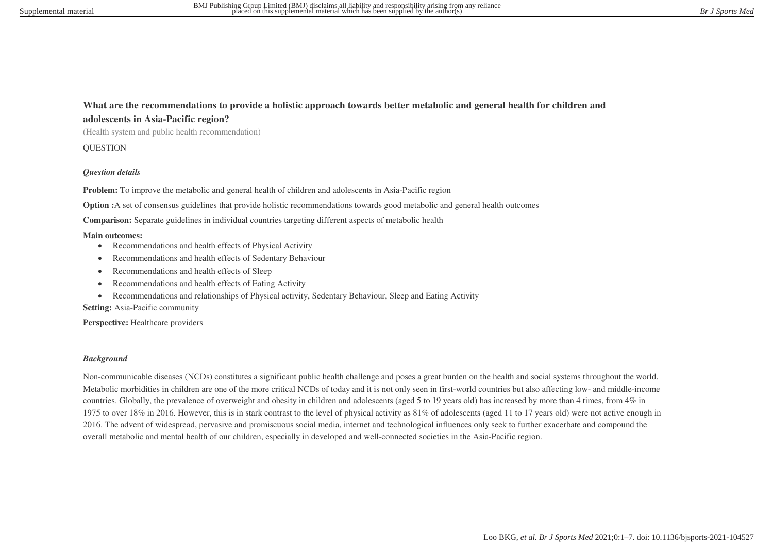## **What are the recommendations to provide a holistic approach towards better metabolic and general health for children and adolescents in Asia-Pacific region?**

(Health system and public health recommendation)

**OUESTION** 

#### *Question details*

**Problem:** To improve the metabolic and general health of children and adolescents in Asia-Pacific region

**Option :**A set of consensus guidelines that provide holistic recommendations towards good metabolic and general health outcomes

**Comparison:** Separate guidelines in individual countries targeting different aspects of metabolic health

#### **Main outcomes:**

- Recommendations and health effects of Physical Activity
- Recommendations and health effects of Sedentary Behaviour
- Recommendations and health effects of Sleep
- Recommendations and health effects of Eating Activity
- Recommendations and relationships of Physical activity, Sedentary Behaviour, Sleep and Eating Activity

**Setting:** Asia-Pacific community

Perspective: Healthcare providers

#### *Background*

Non-communicable diseases (NCDs) constitutes a significant public health challenge and poses a great burden on the health and social systems throughout the world. Metabolic morbidities in children are one of the more critical NCDs of today and it is not only seen in first-world countries but also affecting low- and middle-income countries. Globally, the prevalence of overweight and obesity in children and adolescents (aged 5 to 19 years old) has increased by more than 4 times, from 4% in 1975 to over 18% in 2016. However, this is in stark contrast to the level of physical activity as 81% of adolescents (aged 11 to 17 years old) were not active enough in 2016. The advent of widespread, pervasive and promiscuous social media, internet and technological influences only seek to further exacerbate and compound the overall metabolic and mental health of our children, especially in developed and well-connected societies in the Asia-Pacific region.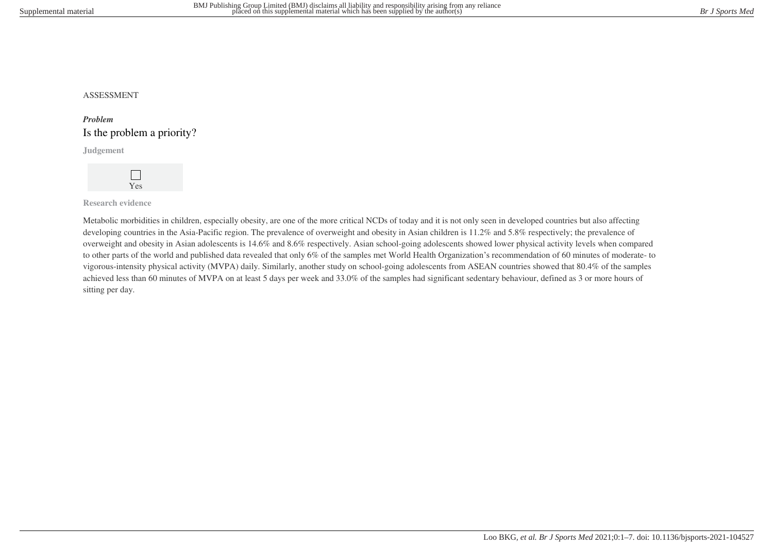## ASSESSMENT

# *Problem* Is the problem a priority?

**Judgement**



**Research evidence**

Metabolic morbidities in children, especially obesity, are one of the more critical NCDs of today and it is not only seen in developed countries but also affecting developing countries in the Asia-Pacific region. The prevalence of overweight and obesity in Asian children is 11.2% and 5.8% respectively; the prevalence of overweight and obesity in Asian adolescents is 14.6% and 8.6% respectively. Asian school-going adolescents showed lower physical activity levels when compared to other parts of the world and published data revealed that only 6% of the samples met World Health Organization's recommendation of 60 minutes of moderate- to vigorous-intensity physical activity (MVPA) daily. Similarly, another study on school-going adolescents from ASEAN countries showed that 80.4% of the samples achieved less than 60 minutes of MVPA on at least 5 days per week and 33.0% of the samples had significant sedentary behaviour, defined as 3 or more hours of sitting per day.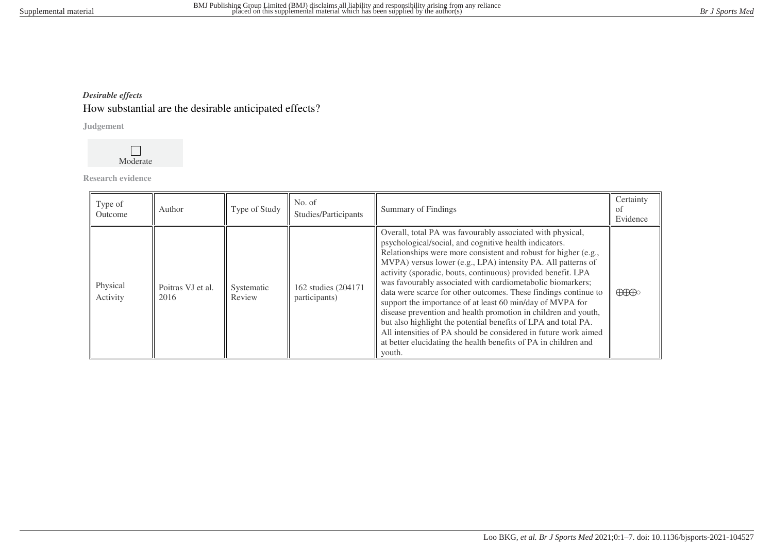# *Desirable effects*

# How substantial are the desirable anticipated effects?

**Judgement**



**Research evidence**

| Type of<br>Outcome   | Author                    | Type of Study        | No. of<br>Studies/Participants        | Summary of Findings                                                                                                                                                                                                                                                                                                                                                                                                                                                                                                                                                                                                                                                                                                                                                                                       | Certainty<br>of<br>Evidence          |
|----------------------|---------------------------|----------------------|---------------------------------------|-----------------------------------------------------------------------------------------------------------------------------------------------------------------------------------------------------------------------------------------------------------------------------------------------------------------------------------------------------------------------------------------------------------------------------------------------------------------------------------------------------------------------------------------------------------------------------------------------------------------------------------------------------------------------------------------------------------------------------------------------------------------------------------------------------------|--------------------------------------|
| Physical<br>Activity | Poitras VJ et al.<br>2016 | Systematic<br>Review | 162 studies (204171)<br>participants) | Overall, total PA was favourably associated with physical,<br>psychological/social, and cognitive health indicators.<br>Relationships were more consistent and robust for higher (e.g.,<br>MVPA) versus lower (e.g., LPA) intensity PA. All patterns of<br>activity (sporadic, bouts, continuous) provided benefit. LPA<br>was favourably associated with cardiometabolic biomarkers;<br>data were scarce for other outcomes. These findings continue to<br>support the importance of at least 60 min/day of MVPA for<br>disease prevention and health promotion in children and youth,<br>but also highlight the potential benefits of LPA and total PA.<br>All intensities of PA should be considered in future work aimed<br>at better elucidating the health benefits of PA in children and<br>youth. | $\bigoplus\hspace{-0.15cm}\bigoplus$ |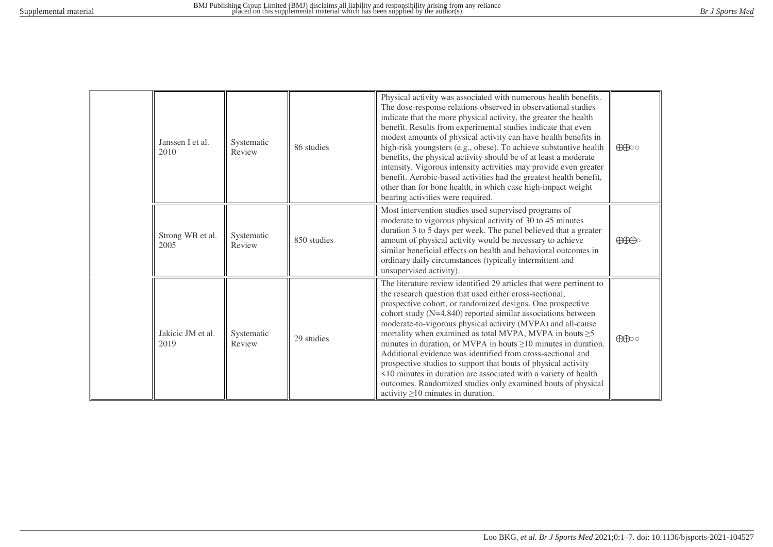|  | Janssen I et al.<br>2010  | Systematic<br>Review | 86 studies  | Physical activity was associated with numerous health benefits.<br>The dose-response relations observed in observational studies<br>indicate that the more physical activity, the greater the health<br>benefit. Results from experimental studies indicate that even<br>modest amounts of physical activity can have health benefits in<br>high-risk youngsters (e.g., obese). To achieve substantive health<br>benefits, the physical activity should be of at least a moderate<br>intensity. Vigorous intensity activities may provide even greater<br>benefit. Aerobic-based activities had the greatest health benefit,<br>other than for bone health, in which case high-impact weight<br>bearing activities were required.                                                     | $\bigoplus$                          |
|--|---------------------------|----------------------|-------------|---------------------------------------------------------------------------------------------------------------------------------------------------------------------------------------------------------------------------------------------------------------------------------------------------------------------------------------------------------------------------------------------------------------------------------------------------------------------------------------------------------------------------------------------------------------------------------------------------------------------------------------------------------------------------------------------------------------------------------------------------------------------------------------|--------------------------------------|
|  | Strong WB et al.<br>2005  | Systematic<br>Review | 850 studies | Most intervention studies used supervised programs of<br>moderate to vigorous physical activity of 30 to 45 minutes<br>duration 3 to 5 days per week. The panel believed that a greater<br>amount of physical activity would be necessary to achieve<br>similar beneficial effects on health and behavioral outcomes in<br>ordinary daily circumstances (typically intermittent and<br>unsupervised activity).                                                                                                                                                                                                                                                                                                                                                                        | $\bigoplus\hspace{-0.18cm}\bigoplus$ |
|  | Jakicic JM et al.<br>2019 | Systematic<br>Review | 29 studies  | The literature review identified 29 articles that were pertinent to<br>the research question that used either cross-sectional,<br>prospective cohort, or randomized designs. One prospective<br>cohort study $(N=4,840)$ reported similar associations between<br>moderate-to-vigorous physical activity (MVPA) and all-cause<br>mortality when examined as total MVPA, MVPA in bouts $\geq$ 5<br>minutes in duration, or MVPA in bouts $\geq$ 10 minutes in duration.<br>Additional evidence was identified from cross-sectional and<br>prospective studies to support that bouts of physical activity<br><10 minutes in duration are associated with a variety of health<br>outcomes. Randomized studies only examined bouts of physical<br>activity $\geq$ 10 minutes in duration. | $\bigoplus$                          |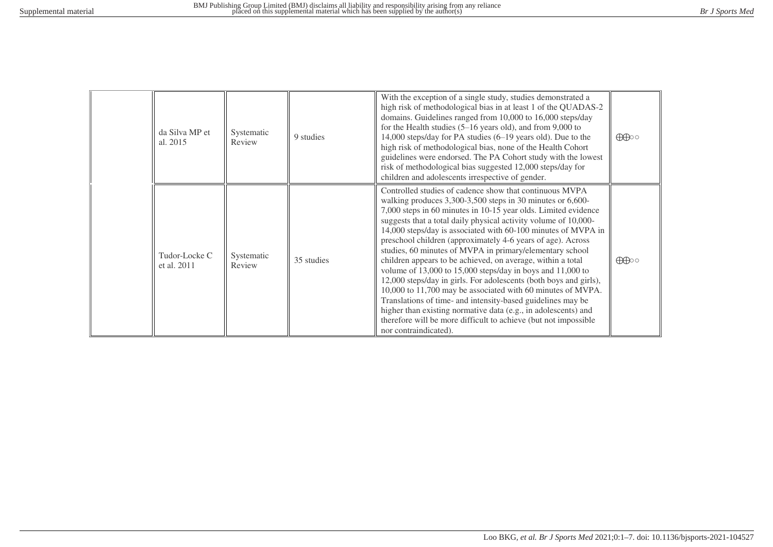| da Silva MP et<br>al. 2015   | Systematic<br>Review | 9 studies  | With the exception of a single study, studies demonstrated a<br>high risk of methodological bias in at least 1 of the QUADAS-2<br>domains. Guidelines ranged from 10,000 to 16,000 steps/day<br>for the Health studies $(5-16$ years old), and from 9,000 to<br>14,000 steps/day for PA studies (6-19 years old). Due to the<br>high risk of methodological bias, none of the Health Cohort<br>guidelines were endorsed. The PA Cohort study with the lowest<br>risk of methodological bias suggested 12,000 steps/day for<br>children and adolescents irrespective of gender.                                                                                                                                                                                                                                                                                                                                                                             | $\bigoplus$ |
|------------------------------|----------------------|------------|------------------------------------------------------------------------------------------------------------------------------------------------------------------------------------------------------------------------------------------------------------------------------------------------------------------------------------------------------------------------------------------------------------------------------------------------------------------------------------------------------------------------------------------------------------------------------------------------------------------------------------------------------------------------------------------------------------------------------------------------------------------------------------------------------------------------------------------------------------------------------------------------------------------------------------------------------------|-------------|
| Tudor-Locke C<br>et al. 2011 | Systematic<br>Review | 35 studies | Controlled studies of cadence show that continuous MVPA<br>walking produces 3,300-3,500 steps in 30 minutes or 6,600-<br>7,000 steps in 60 minutes in 10-15 year olds. Limited evidence<br>suggests that a total daily physical activity volume of 10,000-<br>14,000 steps/day is associated with 60-100 minutes of MVPA in<br>preschool children (approximately 4-6 years of age). Across<br>studies, 60 minutes of MVPA in primary/elementary school<br>children appears to be achieved, on average, within a total<br>volume of $13,000$ to $15,000$ steps/day in boys and $11,000$ to<br>12,000 steps/day in girls. For adolescents (both boys and girls),<br>10,000 to 11,700 may be associated with 60 minutes of MVPA.<br>Translations of time- and intensity-based guidelines may be<br>higher than existing normative data (e.g., in adolescents) and<br>therefore will be more difficult to achieve (but not impossible<br>nor contraindicated). | $\bigoplus$ |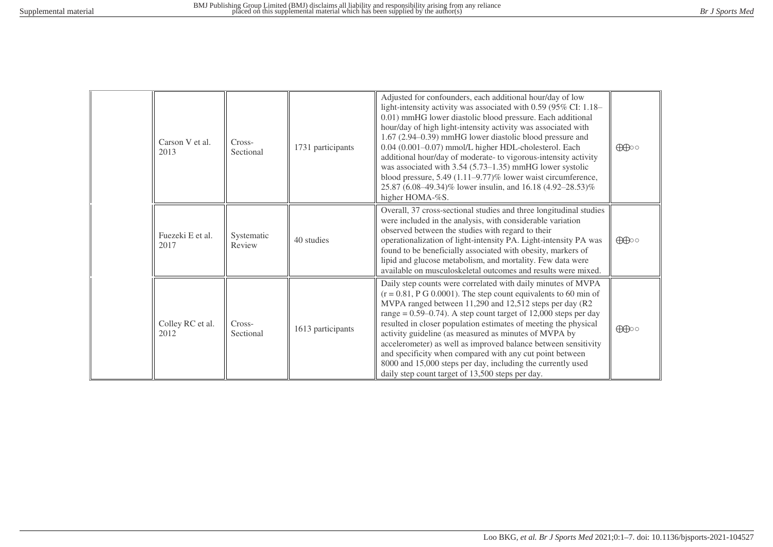|  | Carson V et al.<br>2013  | Cross-<br>Sectional  | 1731 participants | Adjusted for confounders, each additional hour/day of low<br>light-intensity activity was associated with 0.59 (95% CI: 1.18-<br>0.01) mmHG lower diastolic blood pressure. Each additional<br>hour/day of high light-intensity activity was associated with<br>1.67 (2.94–0.39) mmHG lower diastolic blood pressure and<br>0.04 (0.001-0.07) mmol/L higher HDL-cholesterol. Each<br>additional hour/day of moderate- to vigorous-intensity activity<br>was associated with $3.54$ (5.73–1.35) mmHG lower systolic<br>blood pressure, 5.49 (1.11–9.77)% lower waist circumference,<br>25.87 (6.08–49.34)% lower insulin, and 16.18 (4.92–28.53)%<br>higher HOMA-%S. | $\bigoplus$ |
|--|--------------------------|----------------------|-------------------|---------------------------------------------------------------------------------------------------------------------------------------------------------------------------------------------------------------------------------------------------------------------------------------------------------------------------------------------------------------------------------------------------------------------------------------------------------------------------------------------------------------------------------------------------------------------------------------------------------------------------------------------------------------------|-------------|
|  | Fuezeki E et al.<br>2017 | Systematic<br>Review | 40 studies        | Overall, 37 cross-sectional studies and three longitudinal studies<br>were included in the analysis, with considerable variation<br>observed between the studies with regard to their<br>operationalization of light-intensity PA. Light-intensity PA was<br>found to be beneficially associated with obesity, markers of<br>lipid and glucose metabolism, and mortality. Few data were<br>available on musculoskeletal outcomes and results were mixed.                                                                                                                                                                                                            | $\bigoplus$ |
|  | Colley RC et al.<br>2012 | Cross-<br>Sectional  | 1613 participants | Daily step counts were correlated with daily minutes of MVPA<br>$(r = 0.81, P G 0.0001)$ . The step count equivalents to 60 min of<br>MVPA ranged between 11,290 and 12,512 steps per day (R2<br>range = $0.59-0.74$ ). A step count target of 12,000 steps per day<br>resulted in closer population estimates of meeting the physical<br>activity guideline (as measured as minutes of MVPA by<br>accelerometer) as well as improved balance between sensitivity<br>and specificity when compared with any cut point between<br>8000 and 15,000 steps per day, including the currently used<br>daily step count target of 13,500 steps per day.                    | $\bigoplus$ |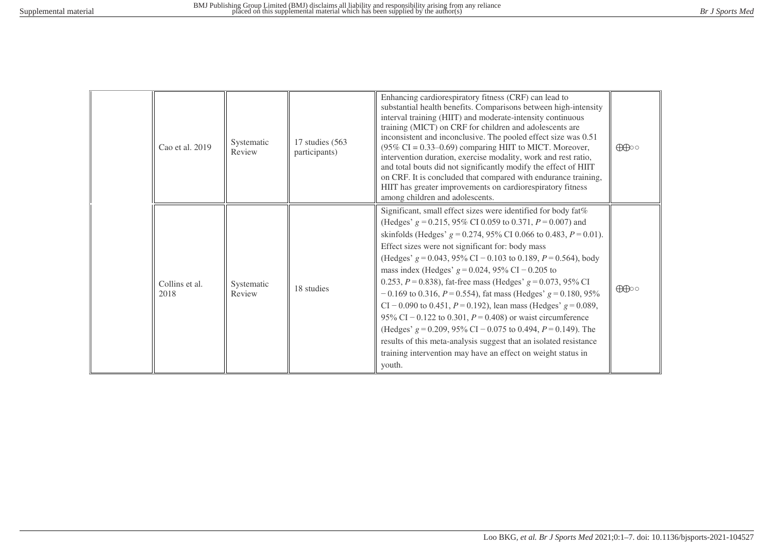| Cao et al. 2019        | Systematic<br>Review | 17 studies (563)<br>participants) | Enhancing cardiorespiratory fitness (CRF) can lead to<br>substantial health benefits. Comparisons between high-intensity<br>interval training (HIIT) and moderate-intensity continuous<br>training (MICT) on CRF for children and adolescents are<br>inconsistent and inconclusive. The pooled effect size was 0.51<br>$(95\% \text{ CI} = 0.33 - 0.69)$ comparing HIIT to MICT. Moreover,<br>intervention duration, exercise modality, work and rest ratio,<br>and total bouts did not significantly modify the effect of HIIT<br>on CRF. It is concluded that compared with endurance training,<br>HIIT has greater improvements on cardiorespiratory fitness<br>among children and adolescents.                                                                                                                                                                                                      | $\bigoplus$ |
|------------------------|----------------------|-----------------------------------|---------------------------------------------------------------------------------------------------------------------------------------------------------------------------------------------------------------------------------------------------------------------------------------------------------------------------------------------------------------------------------------------------------------------------------------------------------------------------------------------------------------------------------------------------------------------------------------------------------------------------------------------------------------------------------------------------------------------------------------------------------------------------------------------------------------------------------------------------------------------------------------------------------|-------------|
| Collins et al.<br>2018 | Systematic<br>Review | 18 studies                        | Significant, small effect sizes were identified for body fat%<br>(Hedges' $g = 0.215$ , 95% CI 0.059 to 0.371, $P = 0.007$ ) and<br>skinfolds (Hedges' $g = 0.274$ , 95% CI 0.066 to 0.483, $P = 0.01$ ).<br>Effect sizes were not significant for: body mass<br>(Hedges' $g = 0.043$ , 95% CI – 0.103 to 0.189, $P = 0.564$ ), body<br>mass index (Hedges' $g = 0.024$ , 95% CI – 0.205 to<br>0.253, $P = 0.838$ ), fat-free mass (Hedges' $g = 0.073$ , 95% CI<br>$-0.169$ to 0.316, $P = 0.554$ ), fat mass (Hedges' $g = 0.180, 95\%$<br>CI – 0.090 to 0.451, $P = 0.192$ ), lean mass (Hedges' $g = 0.089$ ,<br>95% CI – 0.122 to 0.301, $P = 0.408$ ) or waist circumference<br>(Hedges' $g = 0.209$ , 95% CI – 0.075 to 0.494, $P = 0.149$ ). The<br>results of this meta-analysis suggest that an isolated resistance<br>training intervention may have an effect on weight status in<br>youth. | $\bigoplus$ |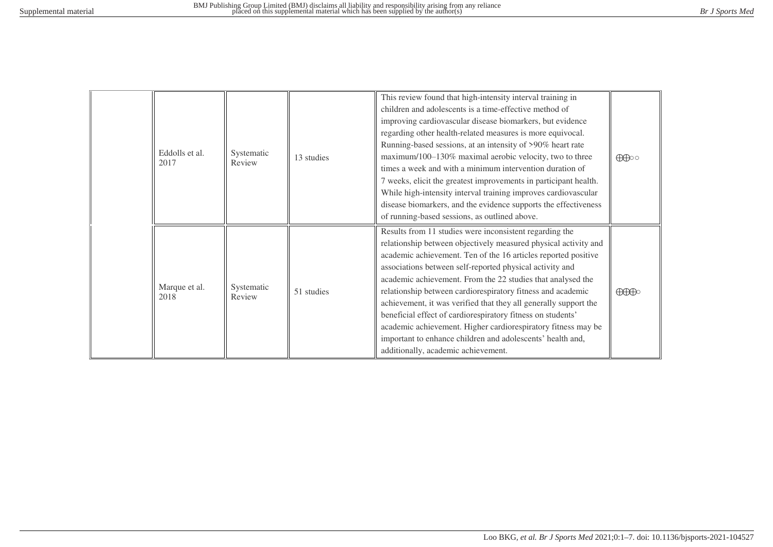| Eddolls et al.<br>2017 | Systematic<br>Review | 13 studies | This review found that high-intensity interval training in<br>children and adolescents is a time-effective method of<br>improving cardiovascular disease biomarkers, but evidence<br>regarding other health-related measures is more equivocal.<br>Running-based sessions, at an intensity of >90% heart rate<br>maximum/100-130% maximal aerobic velocity, two to three<br>times a week and with a minimum intervention duration of<br>7 weeks, elicit the greatest improvements in participant health.<br>While high-intensity interval training improves cardiovascular<br>disease biomarkers, and the evidence supports the effectiveness<br>of running-based sessions, as outlined above.  | $\bigoplus$                          |
|------------------------|----------------------|------------|-------------------------------------------------------------------------------------------------------------------------------------------------------------------------------------------------------------------------------------------------------------------------------------------------------------------------------------------------------------------------------------------------------------------------------------------------------------------------------------------------------------------------------------------------------------------------------------------------------------------------------------------------------------------------------------------------|--------------------------------------|
| Marque et al.<br>2018  | Systematic<br>Review | 51 studies | Results from 11 studies were inconsistent regarding the<br>relationship between objectively measured physical activity and<br>academic achievement. Ten of the 16 articles reported positive<br>associations between self-reported physical activity and<br>academic achievement. From the 22 studies that analysed the<br>relationship between cardiorespiratory fitness and academic<br>achievement, it was verified that they all generally support the<br>beneficial effect of cardiorespiratory fitness on students'<br>academic achievement. Higher cardiorespiratory fitness may be<br>important to enhance children and adolescents' health and,<br>additionally, academic achievement. | $\bigoplus\hspace{-0.15cm}\bigoplus$ |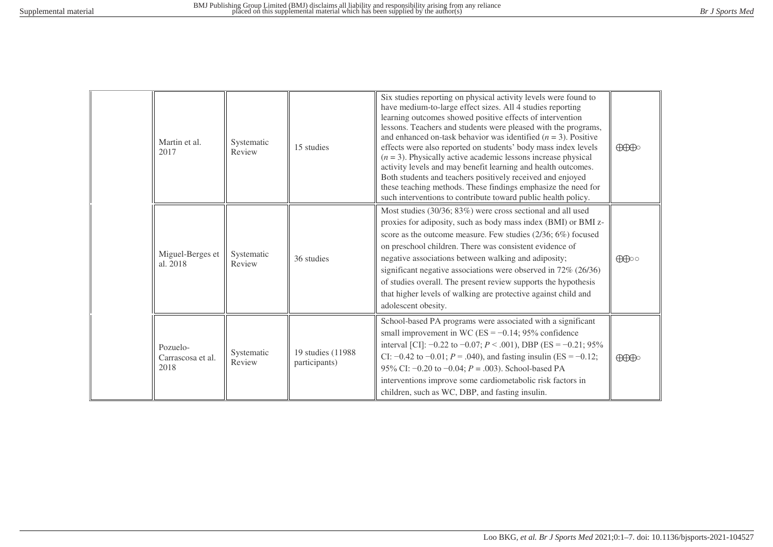|  | Martin et al.<br>2017                 | Systematic<br>Review | 15 studies                          | Six studies reporting on physical activity levels were found to<br>have medium-to-large effect sizes. All 4 studies reporting<br>learning outcomes showed positive effects of intervention<br>lessons. Teachers and students were pleased with the programs,<br>and enhanced on-task behavior was identified $(n = 3)$ . Positive<br>effects were also reported on students' body mass index levels<br>$(n = 3)$ . Physically active academic lessons increase physical<br>activity levels and may benefit learning and health outcomes.<br>Both students and teachers positively received and enjoyed<br>these teaching methods. These findings emphasize the need for<br>such interventions to contribute toward public health policy. | $\bigoplus\hspace{-0.18cm}\bigoplus$ |
|--|---------------------------------------|----------------------|-------------------------------------|------------------------------------------------------------------------------------------------------------------------------------------------------------------------------------------------------------------------------------------------------------------------------------------------------------------------------------------------------------------------------------------------------------------------------------------------------------------------------------------------------------------------------------------------------------------------------------------------------------------------------------------------------------------------------------------------------------------------------------------|--------------------------------------|
|  | Miguel-Berges et<br>al. 2018          | Systematic<br>Review | 36 studies                          | Most studies (30/36; 83%) were cross sectional and all used<br>proxies for adiposity, such as body mass index (BMI) or BMI z-<br>score as the outcome measure. Few studies (2/36; 6%) focused<br>on preschool children. There was consistent evidence of<br>negative associations between walking and adiposity;<br>significant negative associations were observed in 72% (26/36)<br>of studies overall. The present review supports the hypothesis<br>that higher levels of walking are protective against child and<br>adolescent obesity.                                                                                                                                                                                            | $\bigoplus$                          |
|  | Pozuelo-<br>Carrascosa et al.<br>2018 | Systematic<br>Review | 19 studies (11988)<br>participants) | School-based PA programs were associated with a significant<br>small improvement in WC (ES = $-0.14$ ; 95% confidence<br>interval [CI]: $-0.22$ to $-0.07$ ; $P < .001$ ), DBP (ES = $-0.21$ ; 95%<br>CI: $-0.42$ to $-0.01$ ; $P = .040$ ), and fasting insulin (ES = $-0.12$ ;<br>95% CI: $-0.20$ to $-0.04$ ; $P = .003$ ). School-based PA<br>interventions improve some cardiometabolic risk factors in<br>children, such as WC, DBP, and fasting insulin.                                                                                                                                                                                                                                                                          | $\bigoplus\hspace{-0.18cm}\bigoplus$ |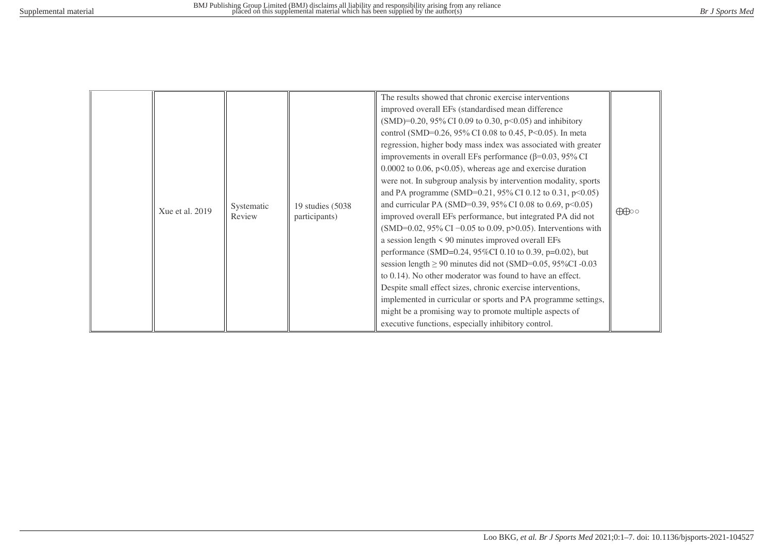|  | Xue et al. 2019 | Systematic<br>Review | 19 studies (5038)<br>participants) | The results showed that chronic exercise interventions<br>improved overall EFs (standardised mean difference)<br>(SMD)=0.20, 95% CI 0.09 to 0.30, p<0.05) and inhibitory<br>control (SMD=0.26, 95% CI 0.08 to 0.45, P<0.05). In meta<br>regression, higher body mass index was associated with greater<br>improvements in overall EFs performance ( $\beta$ =0.03, 95% CI<br>$0.0002$ to 0.06, p<0.05), whereas age and exercise duration<br>were not. In subgroup analysis by intervention modality, sports<br>and PA programme (SMD=0.21, 95% CI 0.12 to 0.31, $p<0.05$ )<br>and curricular PA (SMD=0.39, 95% CI 0.08 to 0.69, p<0.05)<br>improved overall EFs performance, but integrated PA did not<br>(SMD=0.02, 95% CI -0.05 to 0.09, p>0.05). Interventions with<br>a session length $\leq 90$ minutes improved overall EFs<br>performance (SMD=0.24, 95%CI 0.10 to 0.39, p=0.02), but<br>session length $\geq$ 90 minutes did not (SMD=0.05, 95%CI -0.03<br>to 0.14). No other moderator was found to have an effect.<br>Despite small effect sizes, chronic exercise interventions,<br>implemented in curricular or sports and PA programme settings,<br>might be a promising way to promote multiple aspects of<br>executive functions, especially inhibitory control. | $\bigoplus$ |
|--|-----------------|----------------------|------------------------------------|----------------------------------------------------------------------------------------------------------------------------------------------------------------------------------------------------------------------------------------------------------------------------------------------------------------------------------------------------------------------------------------------------------------------------------------------------------------------------------------------------------------------------------------------------------------------------------------------------------------------------------------------------------------------------------------------------------------------------------------------------------------------------------------------------------------------------------------------------------------------------------------------------------------------------------------------------------------------------------------------------------------------------------------------------------------------------------------------------------------------------------------------------------------------------------------------------------------------------------------------------------------------------------|-------------|
|--|-----------------|----------------------|------------------------------------|----------------------------------------------------------------------------------------------------------------------------------------------------------------------------------------------------------------------------------------------------------------------------------------------------------------------------------------------------------------------------------------------------------------------------------------------------------------------------------------------------------------------------------------------------------------------------------------------------------------------------------------------------------------------------------------------------------------------------------------------------------------------------------------------------------------------------------------------------------------------------------------------------------------------------------------------------------------------------------------------------------------------------------------------------------------------------------------------------------------------------------------------------------------------------------------------------------------------------------------------------------------------------------|-------------|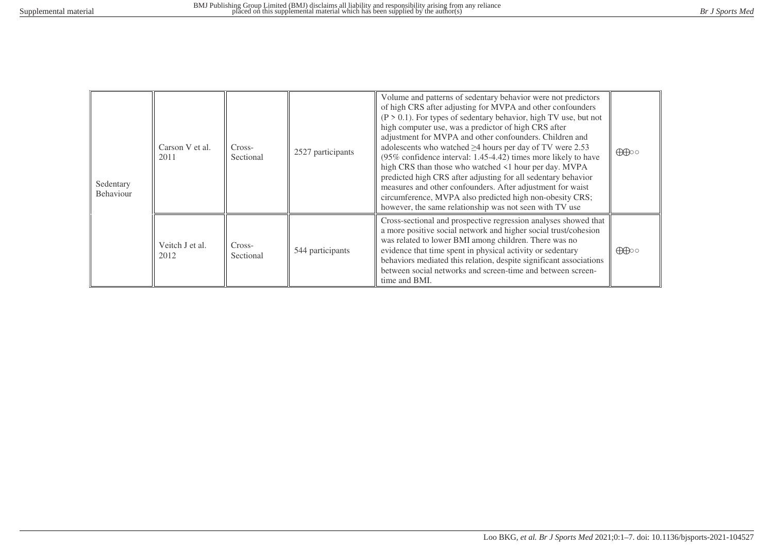| Sedentary<br>Behaviour | Carson V et al.<br>2011 | Cross-<br>Sectional | 2527 participants | Volume and patterns of sedentary behavior were not predictors<br>of high CRS after adjusting for MVPA and other confounders<br>$(P > 0.1)$ . For types of sedentary behavior, high TV use, but not<br>high computer use, was a predictor of high CRS after<br>adjustment for MVPA and other confounders. Children and<br>adolescents who watched $\geq$ 4 hours per day of TV were 2.53<br>(95% confidence interval: 1.45-4.42) times more likely to have<br>high CRS than those who watched <1 hour per day. MVPA<br>predicted high CRS after adjusting for all sedentary behavior<br>measures and other confounders. After adjustment for waist<br>circumference, MVPA also predicted high non-obesity CRS;<br>however, the same relationship was not seen with TV use | $\bigoplus$ |
|------------------------|-------------------------|---------------------|-------------------|--------------------------------------------------------------------------------------------------------------------------------------------------------------------------------------------------------------------------------------------------------------------------------------------------------------------------------------------------------------------------------------------------------------------------------------------------------------------------------------------------------------------------------------------------------------------------------------------------------------------------------------------------------------------------------------------------------------------------------------------------------------------------|-------------|
|                        | Veitch J et al.<br>2012 | Cross-<br>Sectional | 544 participants  | Cross-sectional and prospective regression analyses showed that<br>a more positive social network and higher social trust/cohesion<br>was related to lower BMI among children. There was no<br>evidence that time spent in physical activity or sedentary<br>behaviors mediated this relation, despite significant associations<br>between social networks and screen-time and between screen-<br>time and BMI.                                                                                                                                                                                                                                                                                                                                                          | $\bigoplus$ |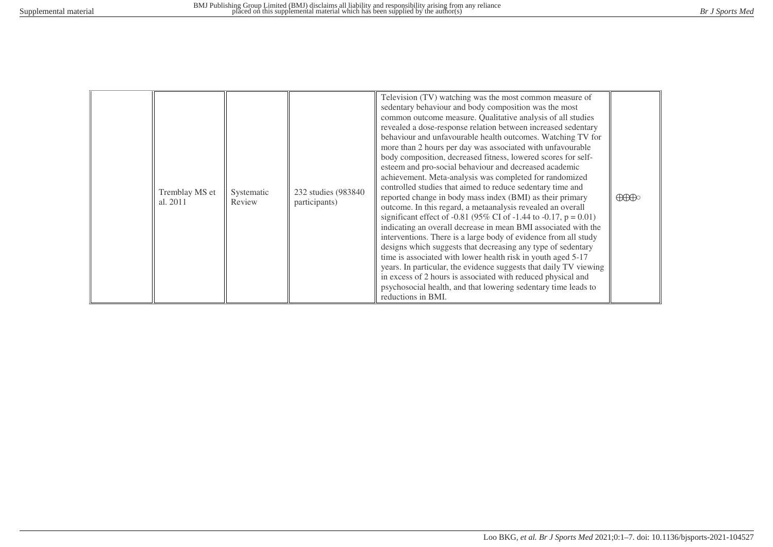|  | Tremblay MS et<br>al. 2011 | Systematic<br>Review | 232 studies (983840)<br>participants) | Television (TV) watching was the most common measure of<br>sedentary behaviour and body composition was the most<br>common outcome measure. Qualitative analysis of all studies<br>revealed a dose-response relation between increased sedentary<br>behaviour and unfavourable health outcomes. Watching TV for<br>more than 2 hours per day was associated with unfavourable<br>body composition, decreased fitness, lowered scores for self-<br>esteem and pro-social behaviour and decreased academic<br>achievement. Meta-analysis was completed for randomized<br>controlled studies that aimed to reduce sedentary time and<br>reported change in body mass index (BMI) as their primary<br>outcome. In this regard, a metaanalysis revealed an overall<br>significant effect of -0.81 (95% CI of -1.44 to -0.17, $p = 0.01$ )<br>indicating an overall decrease in mean BMI associated with the<br>interventions. There is a large body of evidence from all study<br>designs which suggests that decreasing any type of sedentary<br>time is associated with lower health risk in youth aged 5-17<br>years. In particular, the evidence suggests that daily TV viewing<br>in excess of 2 hours is associated with reduced physical and<br>psychosocial health, and that lowering sedentary time leads to<br>reductions in BMI. | $\bigoplus\hspace{-0.15cm}\bigoplus$ |
|--|----------------------------|----------------------|---------------------------------------|----------------------------------------------------------------------------------------------------------------------------------------------------------------------------------------------------------------------------------------------------------------------------------------------------------------------------------------------------------------------------------------------------------------------------------------------------------------------------------------------------------------------------------------------------------------------------------------------------------------------------------------------------------------------------------------------------------------------------------------------------------------------------------------------------------------------------------------------------------------------------------------------------------------------------------------------------------------------------------------------------------------------------------------------------------------------------------------------------------------------------------------------------------------------------------------------------------------------------------------------------------------------------------------------------------------------------------------|--------------------------------------|
|--|----------------------------|----------------------|---------------------------------------|----------------------------------------------------------------------------------------------------------------------------------------------------------------------------------------------------------------------------------------------------------------------------------------------------------------------------------------------------------------------------------------------------------------------------------------------------------------------------------------------------------------------------------------------------------------------------------------------------------------------------------------------------------------------------------------------------------------------------------------------------------------------------------------------------------------------------------------------------------------------------------------------------------------------------------------------------------------------------------------------------------------------------------------------------------------------------------------------------------------------------------------------------------------------------------------------------------------------------------------------------------------------------------------------------------------------------------------|--------------------------------------|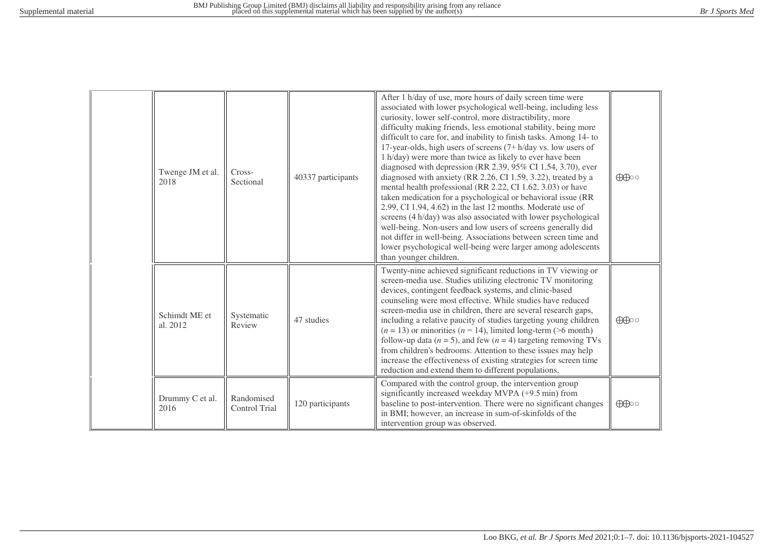|  | Twenge JM et al.<br>2018  | Cross-<br>Sectional         | 40337 participants | After 1 h/day of use, more hours of daily screen time were<br>associated with lower psychological well-being, including less<br>curiosity, lower self-control, more distractibility, more<br>difficulty making friends, less emotional stability, being more<br>difficult to care for, and inability to finish tasks. Among 14- to<br>17-year-olds, high users of screens $(7 + h/day vs. low users of$<br>1 h/day) were more than twice as likely to ever have been<br>diagnosed with depression (RR 2.39, 95% CI 1.54, 3.70), ever<br>diagnosed with anxiety (RR 2.26, CI 1.59, 3.22), treated by a<br>mental health professional (RR 2.22, CI 1.62, 3.03) or have<br>taken medication for a psychological or behavioral issue (RR<br>2.99, CI 1.94, 4.62) in the last 12 months. Moderate use of<br>screens (4 h/day) was also associated with lower psychological<br>well-being. Non-users and low users of screens generally did<br>not differ in well-being. Associations between screen time and<br>lower psychological well-being were larger among adolescents<br>than younger children. | $\bigoplus$ |
|--|---------------------------|-----------------------------|--------------------|---------------------------------------------------------------------------------------------------------------------------------------------------------------------------------------------------------------------------------------------------------------------------------------------------------------------------------------------------------------------------------------------------------------------------------------------------------------------------------------------------------------------------------------------------------------------------------------------------------------------------------------------------------------------------------------------------------------------------------------------------------------------------------------------------------------------------------------------------------------------------------------------------------------------------------------------------------------------------------------------------------------------------------------------------------------------------------------------------|-------------|
|  | Schimdt ME et<br>al. 2012 | Systematic<br>Review        | 47 studies         | Twenty-nine achieved significant reductions in TV viewing or<br>screen-media use. Studies utilizing electronic TV monitoring<br>devices, contingent feedback systems, and clinic-based<br>counseling were most effective. While studies have reduced<br>screen-media use in children, there are several research gaps,<br>including a relative paucity of studies targeting young children<br>$(n = 13)$ or minorities $(n = 14)$ , limited long-term (>6 month)<br>follow-up data ( $n = 5$ ), and few ( $n = 4$ ) targeting removing TVs<br>from children's bedrooms. Attention to these issues may help<br>increase the effectiveness of existing strategies for screen time<br>reduction and extend them to different populations.                                                                                                                                                                                                                                                                                                                                                            | $\bigoplus$ |
|  | Drummy C et al.<br>2016   | Randomised<br>Control Trial | 120 participants   | Compared with the control group, the intervention group<br>significantly increased weekday MVPA (+9.5 min) from<br>baseline to post-intervention. There were no significant changes<br>in BMI; however, an increase in sum-of-skinfolds of the<br>intervention group was observed.                                                                                                                                                                                                                                                                                                                                                                                                                                                                                                                                                                                                                                                                                                                                                                                                                | $\bigoplus$ |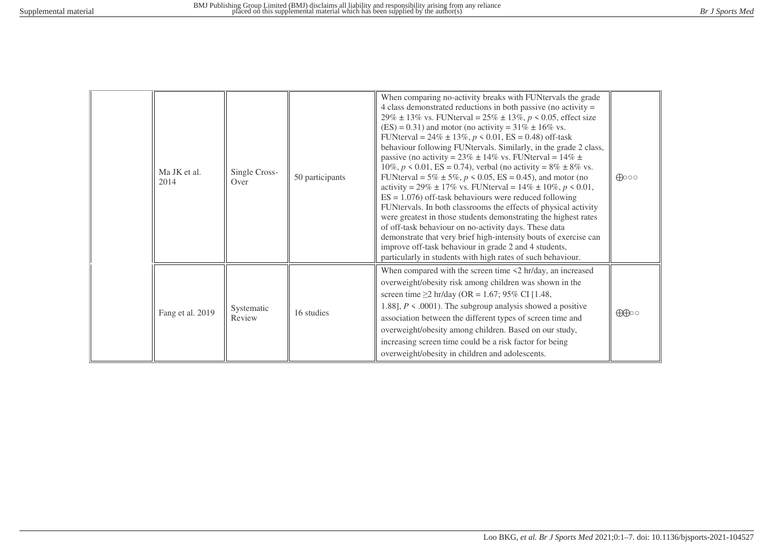| Ma JK et al.<br>2014 | Single Cross-<br>Over | 50 participants | When comparing no-activity breaks with FUNtervals the grade<br>4 class demonstrated reductions in both passive (no activity $=$<br>29% ± 13% vs. FUNterval = $25\%$ ± 13%, $p < 0.05$ , effect size<br>$(ES) = 0.31$ ) and motor (no activity = 31% $\pm$ 16% vs.<br>FUNterval = $24\% \pm 13\%, p \le 0.01$ , ES = 0.48) off-task<br>behaviour following FUNtervals. Similarly, in the grade 2 class,<br>passive (no activity = $23\% \pm 14\%$ vs. FUNterval = $14\% \pm 14\%$<br>10%, $p \le 0.01$ , ES = 0.74), verbal (no activity = 8% ± 8% vs.<br>FUNterval = $5\% \pm 5\%, p \le 0.05$ , ES = 0.45), and motor (no<br>activity = 29% ± 17% vs. FUNterval = 14% ± 10%, $p < 0.01$ ,<br>$ES = 1.076$ ) off-task behaviours were reduced following<br>FUNtervals. In both classrooms the effects of physical activity<br>were greatest in those students demonstrating the highest rates<br>of off-task behaviour on no-activity days. These data<br>demonstrate that very brief high-intensity bouts of exercise can<br>improve off-task behaviour in grade 2 and 4 students,<br>particularly in students with high rates of such behaviour. | $\bigoplus$ 00 |
|----------------------|-----------------------|-----------------|----------------------------------------------------------------------------------------------------------------------------------------------------------------------------------------------------------------------------------------------------------------------------------------------------------------------------------------------------------------------------------------------------------------------------------------------------------------------------------------------------------------------------------------------------------------------------------------------------------------------------------------------------------------------------------------------------------------------------------------------------------------------------------------------------------------------------------------------------------------------------------------------------------------------------------------------------------------------------------------------------------------------------------------------------------------------------------------------------------------------------------------------------|----------------|
| Fang et al. 2019     | Systematic<br>Review  | 16 studies      | When compared with the screen time $\leq 2$ hr/day, an increased<br>overweight/obesity risk among children was shown in the<br>screen time $\geq$ 2 hr/day (OR = 1.67; 95% CI [1.48,<br>1.88], $P \le 0.0001$ . The subgroup analysis showed a positive<br>association between the different types of screen time and<br>overweight/obesity among children. Based on our study,<br>increasing screen time could be a risk factor for being<br>overweight/obesity in children and adolescents.                                                                                                                                                                                                                                                                                                                                                                                                                                                                                                                                                                                                                                                      | $\bigoplus$    |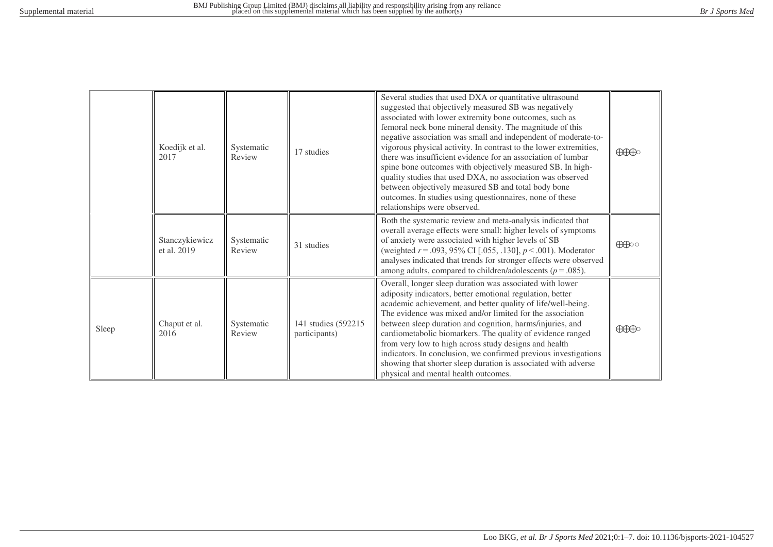|       | Koedijk et al.<br>2017        | Systematic<br>Review | 17 studies                            | Several studies that used DXA or quantitative ultrasound<br>suggested that objectively measured SB was negatively<br>associated with lower extremity bone outcomes, such as<br>femoral neck bone mineral density. The magnitude of this<br>negative association was small and independent of moderate-to-<br>vigorous physical activity. In contrast to the lower extremities,<br>there was insufficient evidence for an association of lumbar<br>spine bone outcomes with objectively measured SB. In high-<br>quality studies that used DXA, no association was observed<br>between objectively measured SB and total body bone<br>outcomes. In studies using questionnaires, none of these<br>relationships were observed. | $\bigoplus\hspace{-0.18cm}\bigoplus$                                                                                                                                                                                                                                                                                                                                                                                                     |
|-------|-------------------------------|----------------------|---------------------------------------|-------------------------------------------------------------------------------------------------------------------------------------------------------------------------------------------------------------------------------------------------------------------------------------------------------------------------------------------------------------------------------------------------------------------------------------------------------------------------------------------------------------------------------------------------------------------------------------------------------------------------------------------------------------------------------------------------------------------------------|------------------------------------------------------------------------------------------------------------------------------------------------------------------------------------------------------------------------------------------------------------------------------------------------------------------------------------------------------------------------------------------------------------------------------------------|
|       | Stanczykiewicz<br>et al. 2019 | Systematic<br>Review | 31 studies                            | Both the systematic review and meta-analysis indicated that<br>overall average effects were small: higher levels of symptoms<br>of anxiety were associated with higher levels of SB<br>(weighted $r = .093, 95\%$ CI [.055, .130], $p < .001$ ). Moderator<br>analyses indicated that trends for stronger effects were observed<br>among adults, compared to children/adolescents ( $p = .085$ ).                                                                                                                                                                                                                                                                                                                             | $\bigoplus$                                                                                                                                                                                                                                                                                                                                                                                                                              |
| Sleep | Chaput et al.<br>2016         | Systematic<br>Review | 141 studies (592215)<br>participants) | Overall, longer sleep duration was associated with lower<br>adiposity indicators, better emotional regulation, better<br>academic achievement, and better quality of life/well-being.<br>The evidence was mixed and/or limited for the association<br>between sleep duration and cognition, harms/injuries, and<br>cardiometabolic biomarkers. The quality of evidence ranged<br>from very low to high across study designs and health<br>indicators. In conclusion, we confirmed previous investigations<br>showing that shorter sleep duration is associated with adverse<br>physical and mental health outcomes.                                                                                                           | $\bigoplus\hspace{-0.18cm}\bigoplus\hspace{-0.18cm}\bigoplus\hspace{-0.18cm}\bigoplus\hspace{-0.18cm}\bigoplus\hspace{-0.18cm}\bigoplus\hspace{-0.18cm}\bigoplus\hspace{-0.18cm}\bigoplus\hspace{-0.18cm}\bigoplus\hspace{-0.18cm}\bigoplus\hspace{-0.18cm}\bigoplus\hspace{-0.18cm}\bigoplus\hspace{-0.18cm}\bigoplus\hspace{-0.18cm}\bigoplus\hspace{-0.18cm}\bigoplus\hspace{-0.18cm}\bigoplus\hspace{-0.18cm}\bigoplus\hspace{-0.18$ |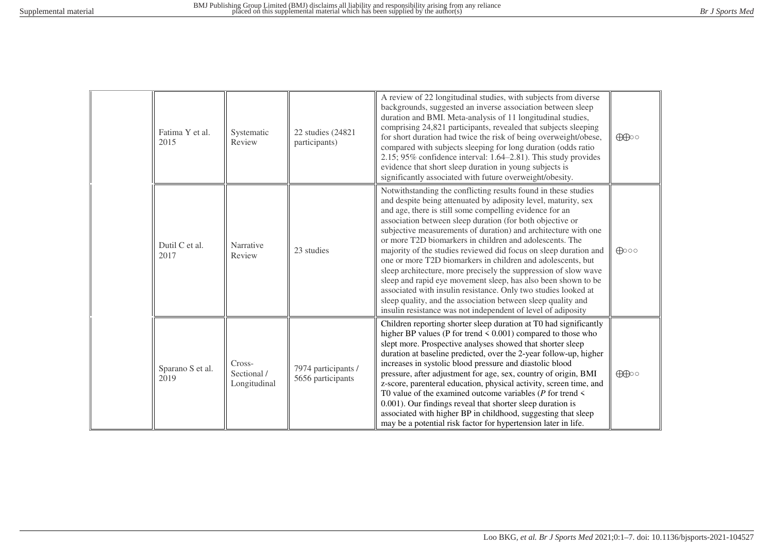|  | Fatima Y et al.<br>2015  | Systematic<br>Review                  | 22 studies (24821)<br>participants)      | A review of 22 longitudinal studies, with subjects from diverse<br>backgrounds, suggested an inverse association between sleep<br>duration and BMI. Meta-analysis of 11 longitudinal studies,<br>comprising 24,821 participants, revealed that subjects sleeping<br>for short duration had twice the risk of being overweight/obese,<br>compared with subjects sleeping for long duration (odds ratio<br>$2.15$ ; 95% confidence interval: 1.64–2.81). This study provides<br>evidence that short sleep duration in young subjects is<br>significantly associated with future overweight/obesity.                                                                                                                                                                                                                                                              | $\bigoplus$    |
|--|--------------------------|---------------------------------------|------------------------------------------|----------------------------------------------------------------------------------------------------------------------------------------------------------------------------------------------------------------------------------------------------------------------------------------------------------------------------------------------------------------------------------------------------------------------------------------------------------------------------------------------------------------------------------------------------------------------------------------------------------------------------------------------------------------------------------------------------------------------------------------------------------------------------------------------------------------------------------------------------------------|----------------|
|  | Dutil C et al.<br>2017   | Narrative<br>Review                   | 23 studies                               | Notwithstanding the conflicting results found in these studies<br>and despite being attenuated by adiposity level, maturity, sex<br>and age, there is still some compelling evidence for an<br>association between sleep duration (for both objective or<br>subjective measurements of duration) and architecture with one<br>or more T2D biomarkers in children and adolescents. The<br>majority of the studies reviewed did focus on sleep duration and<br>one or more T2D biomarkers in children and adolescents, but<br>sleep architecture, more precisely the suppression of slow wave<br>sleep and rapid eye movement sleep, has also been shown to be<br>associated with insulin resistance. Only two studies looked at<br>sleep quality, and the association between sleep quality and<br>insulin resistance was not independent of level of adiposity | $\bigoplus$ 00 |
|  | Sparano S et al.<br>2019 | Cross-<br>Sectional /<br>Longitudinal | 7974 participants /<br>5656 participants | Children reporting shorter sleep duration at T0 had significantly<br>higher BP values (P for trend $\leq 0.001$ ) compared to those who<br>slept more. Prospective analyses showed that shorter sleep<br>duration at baseline predicted, over the 2-year follow-up, higher<br>increases in systolic blood pressure and diastolic blood<br>pressure, after adjustment for age, sex, country of origin, BMI<br>z-score, parenteral education, physical activity, screen time, and<br>T0 value of the examined outcome variables ( $P$ for trend $\leq$<br>0.001). Our findings reveal that shorter sleep duration is<br>associated with higher BP in childhood, suggesting that sleep<br>may be a potential risk factor for hypertension later in life.                                                                                                          | $\bigoplus$    |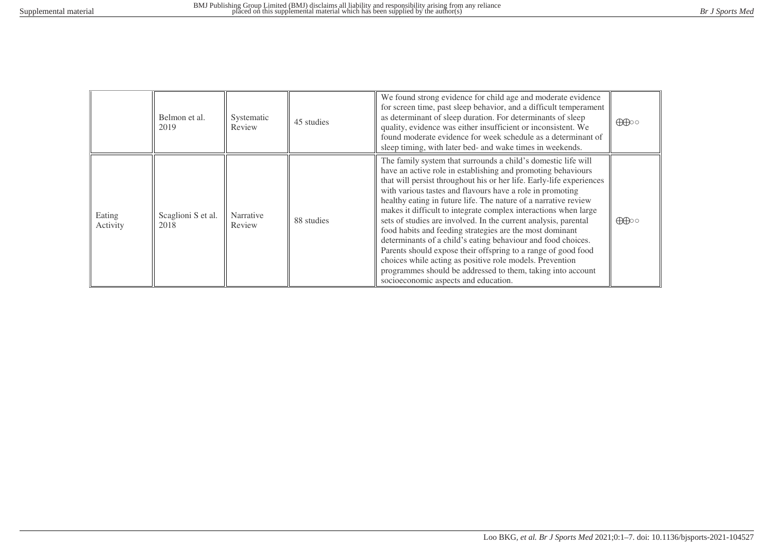|                    | Belmon et al.<br>2019      | Systematic<br>Review | 45 studies | We found strong evidence for child age and moderate evidence<br>for screen time, past sleep behavior, and a difficult temperament<br>as determinant of sleep duration. For determinants of sleep<br>quality, evidence was either insufficient or inconsistent. We<br>found moderate evidence for week schedule as a determinant of<br>sleep timing, with later bed- and wake times in weekends.                                                                                                                                                                                                                                                                                                                                                                                                                                             | $\bigoplus$ |
|--------------------|----------------------------|----------------------|------------|---------------------------------------------------------------------------------------------------------------------------------------------------------------------------------------------------------------------------------------------------------------------------------------------------------------------------------------------------------------------------------------------------------------------------------------------------------------------------------------------------------------------------------------------------------------------------------------------------------------------------------------------------------------------------------------------------------------------------------------------------------------------------------------------------------------------------------------------|-------------|
| Eating<br>Activity | Scaglioni S et al.<br>2018 | Narrative<br>Review  | 88 studies | The family system that surrounds a child's domestic life will<br>have an active role in establishing and promoting behaviours<br>that will persist throughout his or her life. Early-life experiences<br>with various tastes and flavours have a role in promoting<br>healthy eating in future life. The nature of a narrative review<br>makes it difficult to integrate complex interactions when large<br>sets of studies are involved. In the current analysis, parental<br>food habits and feeding strategies are the most dominant<br>determinants of a child's eating behaviour and food choices.<br>Parents should expose their offspring to a range of good food<br>choices while acting as positive role models. Prevention<br>programmes should be addressed to them, taking into account<br>socioeconomic aspects and education. | $\bigoplus$ |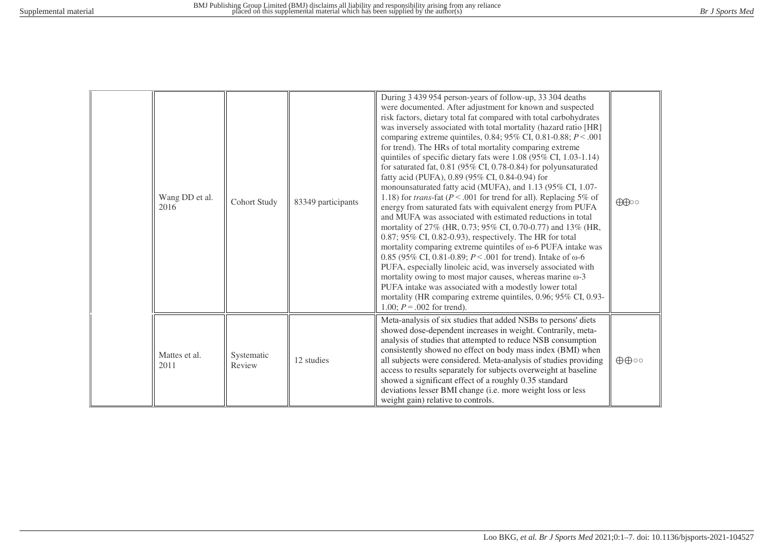| Wang DD et al.<br>2016 | <b>Cohort Study</b>  | 83349 participants | During 3 439 954 person-years of follow-up, 33 304 deaths<br>were documented. After adjustment for known and suspected<br>risk factors, dietary total fat compared with total carbohydrates<br>was inversely associated with total mortality (hazard ratio [HR]<br>comparing extreme quintiles, 0.84; 95% CI, 0.81-0.88; $P < .001$<br>for trend). The HRs of total mortality comparing extreme<br>quintiles of specific dietary fats were 1.08 (95% CI, 1.03-1.14)<br>for saturated fat, $0.81$ (95% CI, 0.78-0.84) for polyunsaturated<br>fatty acid (PUFA), 0.89 (95% CI, 0.84-0.94) for<br>monounsaturated fatty acid (MUFA), and 1.13 (95% CI, 1.07-<br>1.18) for <i>trans</i> -fat ( $P < .001$ for trend for all). Replacing 5% of<br>energy from saturated fats with equivalent energy from PUFA<br>and MUFA was associated with estimated reductions in total<br>mortality of 27% (HR, 0.73; 95% CI, 0.70-0.77) and 13% (HR,<br>$0.87$ ; 95% CI, 0.82-0.93), respectively. The HR for total<br>mortality comparing extreme quintiles of $\omega$ -6 PUFA intake was<br>0.85 (95% CI, 0.81-0.89; $P < .001$ for trend). Intake of $\omega$ -6<br>PUFA, especially linoleic acid, was inversely associated with<br>mortality owing to most major causes, whereas marine $\omega$ -3<br>PUFA intake was associated with a modestly lower total<br>mortality (HR comparing extreme quintiles, 0.96; 95% CI, 0.93-<br>1.00; $P = .002$ for trend). | $\bigoplus$                 |
|------------------------|----------------------|--------------------|--------------------------------------------------------------------------------------------------------------------------------------------------------------------------------------------------------------------------------------------------------------------------------------------------------------------------------------------------------------------------------------------------------------------------------------------------------------------------------------------------------------------------------------------------------------------------------------------------------------------------------------------------------------------------------------------------------------------------------------------------------------------------------------------------------------------------------------------------------------------------------------------------------------------------------------------------------------------------------------------------------------------------------------------------------------------------------------------------------------------------------------------------------------------------------------------------------------------------------------------------------------------------------------------------------------------------------------------------------------------------------------------------------------------------------------------------------|-----------------------------|
| Mattes et al.<br>2011  | Systematic<br>Review | 12 studies         | Meta-analysis of six studies that added NSBs to persons' diets<br>showed dose-dependent increases in weight. Contrarily, meta-<br>analysis of studies that attempted to reduce NSB consumption<br>consistently showed no effect on body mass index (BMI) when<br>all subjects were considered. Meta-analysis of studies providing<br>access to results separately for subjects overweight at baseline<br>showed a significant effect of a roughly 0.35 standard<br>deviations lesser BMI change (i.e. more weight loss or less<br>weight gain) relative to controls.                                                                                                                                                                                                                                                                                                                                                                                                                                                                                                                                                                                                                                                                                                                                                                                                                                                                                   | $\oplus \oplus \circ \circ$ |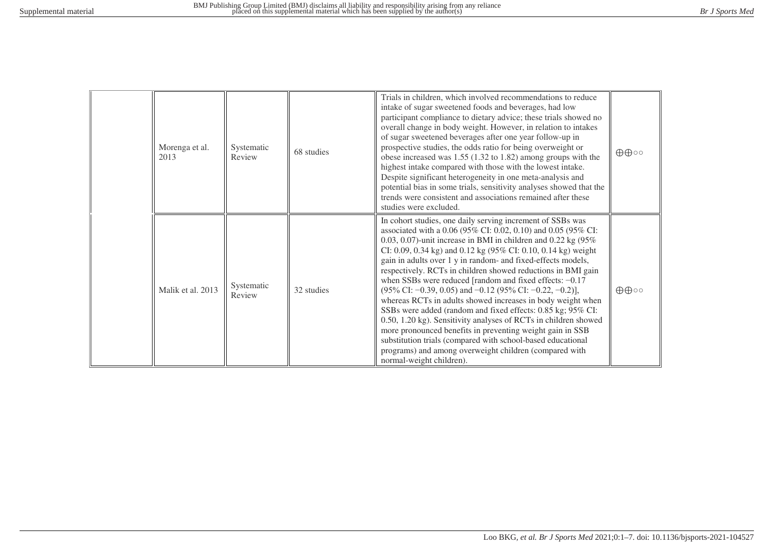| Morenga et al.<br>2013 | Systematic<br>Review | 68 studies | Trials in children, which involved recommendations to reduce<br>intake of sugar sweetened foods and beverages, had low<br>participant compliance to dietary advice; these trials showed no<br>overall change in body weight. However, in relation to intakes<br>of sugar sweetened beverages after one year follow-up in<br>prospective studies, the odds ratio for being overweight or<br>obese increased was $1.55$ (1.32 to 1.82) among groups with the<br>highest intake compared with those with the lowest intake.<br>Despite significant heterogeneity in one meta-analysis and<br>potential bias in some trials, sensitivity analyses showed that the<br>trends were consistent and associations remained after these<br>studies were excluded.                                                                                                                                                                                                                | $\oplus \oplus \circ \circ$ |
|------------------------|----------------------|------------|------------------------------------------------------------------------------------------------------------------------------------------------------------------------------------------------------------------------------------------------------------------------------------------------------------------------------------------------------------------------------------------------------------------------------------------------------------------------------------------------------------------------------------------------------------------------------------------------------------------------------------------------------------------------------------------------------------------------------------------------------------------------------------------------------------------------------------------------------------------------------------------------------------------------------------------------------------------------|-----------------------------|
| Malik et al. 2013      | Systematic<br>Review | 32 studies | In cohort studies, one daily serving increment of SSBs was<br>associated with a 0.06 (95% CI: 0.02, 0.10) and 0.05 (95% CI:<br>0.03, 0.07)-unit increase in BMI in children and 0.22 kg $(95\%$<br>CI: 0.09, 0.34 kg) and 0.12 kg (95% CI: 0.10, 0.14 kg) weight<br>gain in adults over 1 y in random- and fixed-effects models,<br>respectively. RCTs in children showed reductions in BMI gain<br>when SSBs were reduced [random and fixed effects: $-0.17$<br>$(95\% \text{ CI: } -0.39, 0.05)$ and $-0.12$ $(95\% \text{ CI: } -0.22, -0.2)$ ],<br>whereas RCTs in adults showed increases in body weight when<br>SSBs were added (random and fixed effects: 0.85 kg; 95% CI:<br>0.50, 1.20 kg). Sensitivity analyses of RCTs in children showed<br>more pronounced benefits in preventing weight gain in SSB<br>substitution trials (compared with school-based educational<br>programs) and among overweight children (compared with<br>normal-weight children). | $\oplus \oplus \circ \circ$ |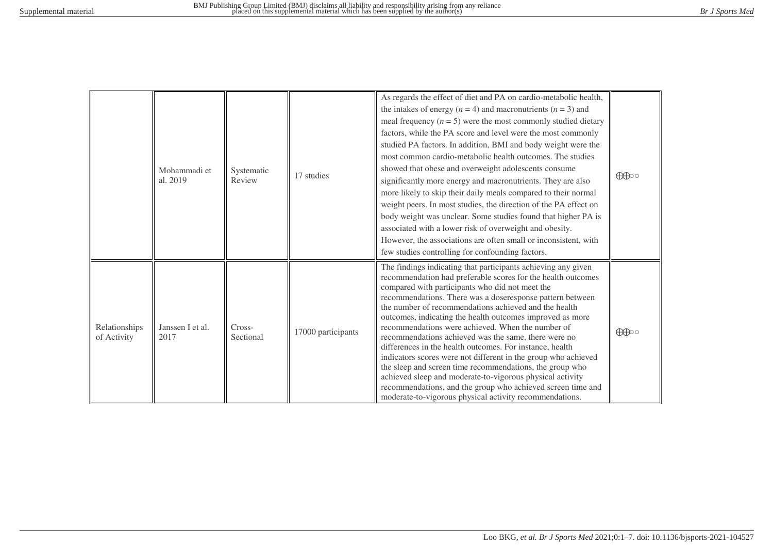|                              | Mohammadi et<br>al. 2019 | Systematic<br>Review | 17 studies         | As regards the effect of diet and PA on cardio-metabolic health,<br>the intakes of energy ( $n = 4$ ) and macronutrients ( $n = 3$ ) and<br>meal frequency $(n = 5)$ were the most commonly studied dietary<br>factors, while the PA score and level were the most commonly<br>studied PA factors. In addition, BMI and body weight were the<br>most common cardio-metabolic health outcomes. The studies<br>showed that obese and overweight adolescents consume<br>significantly more energy and macronutrients. They are also<br>more likely to skip their daily meals compared to their normal<br>weight peers. In most studies, the direction of the PA effect on<br>body weight was unclear. Some studies found that higher PA is<br>associated with a lower risk of overweight and obesity.<br>However, the associations are often small or inconsistent, with<br>few studies controlling for confounding factors. | $\bigoplus$ |
|------------------------------|--------------------------|----------------------|--------------------|---------------------------------------------------------------------------------------------------------------------------------------------------------------------------------------------------------------------------------------------------------------------------------------------------------------------------------------------------------------------------------------------------------------------------------------------------------------------------------------------------------------------------------------------------------------------------------------------------------------------------------------------------------------------------------------------------------------------------------------------------------------------------------------------------------------------------------------------------------------------------------------------------------------------------|-------------|
| Relationships<br>of Activity | Janssen I et al.<br>2017 | Cross-<br>Sectional  | 17000 participants | The findings indicating that participants achieving any given<br>recommendation had preferable scores for the health outcomes<br>compared with participants who did not meet the<br>recommendations. There was a doseresponse pattern between<br>the number of recommendations achieved and the health<br>outcomes, indicating the health outcomes improved as more<br>recommendations were achieved. When the number of<br>recommendations achieved was the same, there were no<br>differences in the health outcomes. For instance, health<br>indicators scores were not different in the group who achieved<br>the sleep and screen time recommendations, the group who<br>achieved sleep and moderate-to-vigorous physical activity<br>recommendations, and the group who achieved screen time and<br>moderate-to-vigorous physical activity recommendations.                                                         | $\bigoplus$ |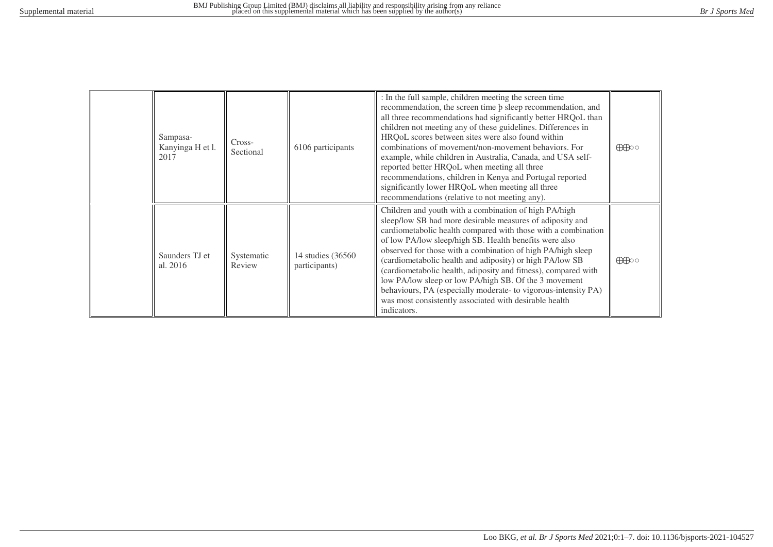| Sampasa-<br>Kanyinga H et l.<br>2017 | Cross-<br>Sectional  | 6106 participants                   | : In the full sample, children meeting the screen time<br>recommendation, the screen time $\beta$ sleep recommendation, and<br>all three recommendations had significantly better HRQoL than<br>children not meeting any of these guidelines. Differences in<br>HRQoL scores between sites were also found within<br>combinations of movement/non-movement behaviors. For<br>example, while children in Australia, Canada, and USA self-<br>reported better HRQoL when meeting all three<br>recommendations, children in Kenya and Portugal reported<br>significantly lower HRQoL when meeting all three<br>recommendations (relative to not meeting any). | $\bigoplus$ |
|--------------------------------------|----------------------|-------------------------------------|------------------------------------------------------------------------------------------------------------------------------------------------------------------------------------------------------------------------------------------------------------------------------------------------------------------------------------------------------------------------------------------------------------------------------------------------------------------------------------------------------------------------------------------------------------------------------------------------------------------------------------------------------------|-------------|
| Saunders TJ et<br>al. 2016           | Systematic<br>Review | 14 studies (36560)<br>participants) | Children and youth with a combination of high PA/high<br>sleep/low SB had more desirable measures of adiposity and<br>cardiometabolic health compared with those with a combination<br>of low PA/low sleep/high SB. Health benefits were also<br>observed for those with a combination of high PA/high sleep<br>(cardiometabolic health and adiposity) or high PA/low SB<br>(cardiometabolic health, adiposity and fitness), compared with<br>low PA/low sleep or low PA/high SB. Of the 3 movement<br>behaviours, PA (especially moderate- to vigorous-intensity PA)<br>was most consistently associated with desirable health<br>indicators.             | $\bigoplus$ |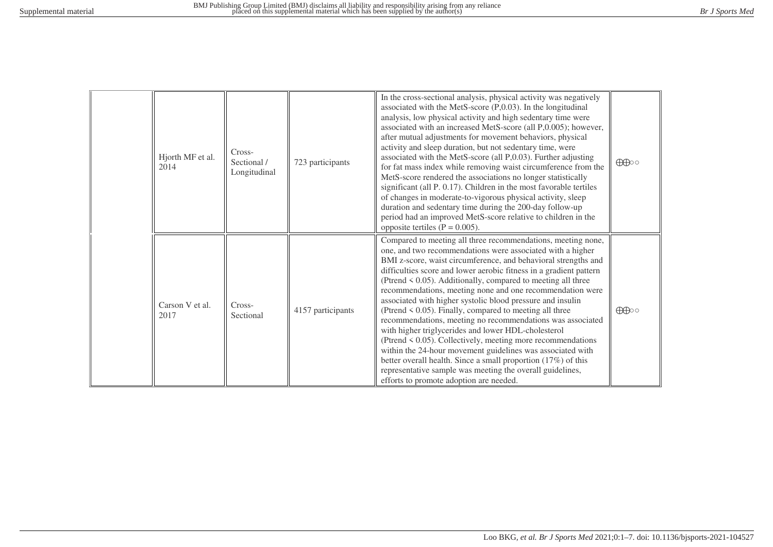| Hjorth MF et al.<br>2014 | Cross-<br>Sectional /<br>Longitudinal | 723 participants  | In the cross-sectional analysis, physical activity was negatively<br>associated with the MetS-score $(P, 0.03)$ . In the longitudinal<br>analysis, low physical activity and high sedentary time were<br>associated with an increased MetS-score (all P,0.005); however,<br>after mutual adjustments for movement behaviors, physical<br>activity and sleep duration, but not sedentary time, were<br>associated with the MetS-score (all P,0.03). Further adjusting<br>for fat mass index while removing waist circumference from the<br>MetS-score rendered the associations no longer statistically<br>significant (all P. 0.17). Children in the most favorable tertiles<br>of changes in moderate-to-vigorous physical activity, sleep<br>duration and sedentary time during the 200-day follow-up<br>period had an improved MetS-score relative to children in the<br>opposite tertiles ( $P = 0.005$ ).                                                | $\bigoplus$ |
|--------------------------|---------------------------------------|-------------------|---------------------------------------------------------------------------------------------------------------------------------------------------------------------------------------------------------------------------------------------------------------------------------------------------------------------------------------------------------------------------------------------------------------------------------------------------------------------------------------------------------------------------------------------------------------------------------------------------------------------------------------------------------------------------------------------------------------------------------------------------------------------------------------------------------------------------------------------------------------------------------------------------------------------------------------------------------------|-------------|
| Carson V et al.<br>2017  | Cross-<br>Sectional                   | 4157 participants | Compared to meeting all three recommendations, meeting none,<br>one, and two recommendations were associated with a higher<br>BMI z-score, waist circumference, and behavioral strengths and<br>difficulties score and lower aerobic fitness in a gradient pattern<br>(Ptrend < 0.05). Additionally, compared to meeting all three<br>recommendations, meeting none and one recommendation were<br>associated with higher systolic blood pressure and insulin<br>(Ptrend $\leq$ 0.05). Finally, compared to meeting all three<br>recommendations, meeting no recommendations was associated<br>with higher triglycerides and lower HDL-cholesterol<br>(Ptrend $\leq$ 0.05). Collectively, meeting more recommendations<br>within the 24-hour movement guidelines was associated with<br>better overall health. Since a small proportion (17%) of this<br>representative sample was meeting the overall guidelines,<br>efforts to promote adoption are needed. | $\bigoplus$ |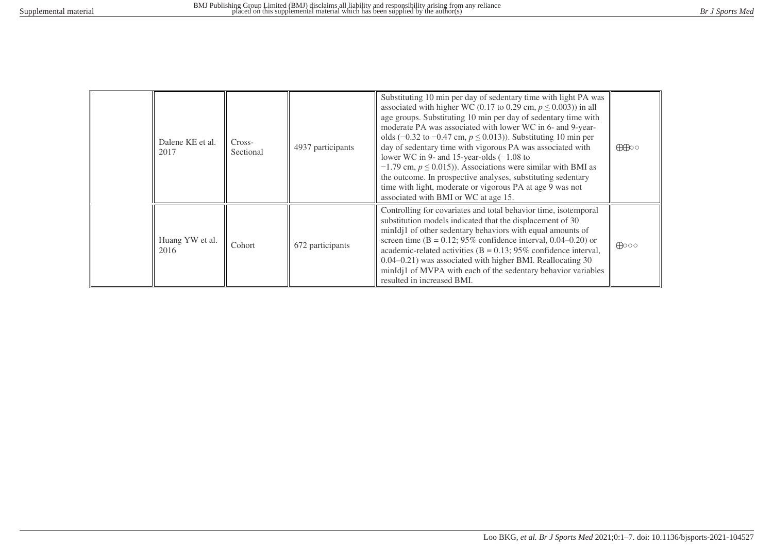| Dalene KE et al.<br>2017 | Cross-<br>Sectional | 4937 participants | Substituting 10 min per day of sedentary time with light PA was<br>associated with higher WC (0.17 to 0.29 cm, $p \le 0.003$ )) in all<br>age groups. Substituting 10 min per day of sedentary time with<br>moderate PA was associated with lower WC in 6- and 9-year-<br>olds (-0.32 to -0.47 cm, $p \le 0.013$ )). Substituting 10 min per<br>day of sedentary time with vigorous PA was associated with<br>lower WC in 9- and 15-year-olds $(-1.08$ to<br>$-1.79$ cm, $p \le 0.015$ ). Associations were similar with BMI as<br>the outcome. In prospective analyses, substituting sedentary<br>time with light, moderate or vigorous PA at age 9 was not<br>associated with BMI or WC at age 15. | $\bigoplus$    |
|--------------------------|---------------------|-------------------|------------------------------------------------------------------------------------------------------------------------------------------------------------------------------------------------------------------------------------------------------------------------------------------------------------------------------------------------------------------------------------------------------------------------------------------------------------------------------------------------------------------------------------------------------------------------------------------------------------------------------------------------------------------------------------------------------|----------------|
| Huang YW et al.<br>2016  | Cohort              | 672 participants  | Controlling for covariates and total behavior time, isotemporal<br>substitution models indicated that the displacement of 30<br>minIdj1 of other sedentary behaviors with equal amounts of<br>screen time ( $B = 0.12$ ; 95% confidence interval, 0.04–0.20) or<br>academic-related activities ( $B = 0.13$ ; 95% confidence interval,<br>$0.04 - 0.21$ ) was associated with higher BMI. Reallocating 30<br>minIdj1 of MVPA with each of the sedentary behavior variables<br>resulted in increased BMI.                                                                                                                                                                                             | $\bigoplus$ 00 |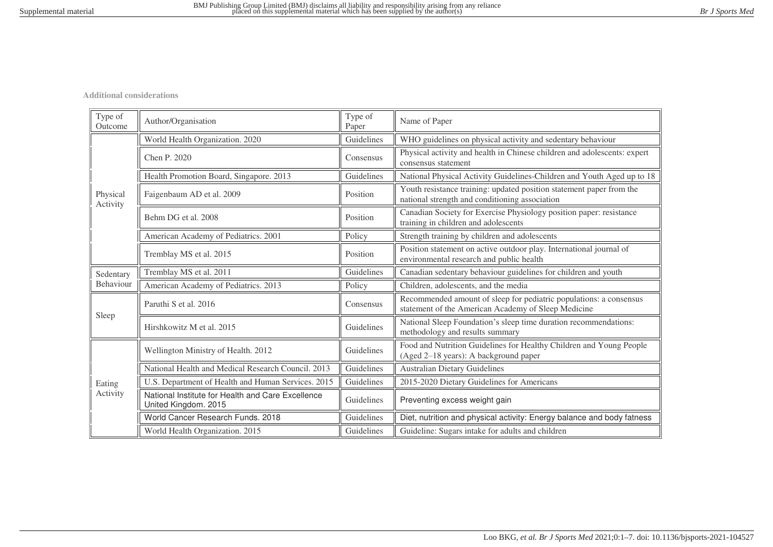**Additional considerations**

| Type of<br>Outcome   | Author/Organisation                                                       | Type of<br>Paper | Name of Paper                                                                                                             |
|----------------------|---------------------------------------------------------------------------|------------------|---------------------------------------------------------------------------------------------------------------------------|
|                      | World Health Organization. 2020                                           | Guidelines       | WHO guidelines on physical activity and sedentary behaviour                                                               |
|                      | Chen P. 2020                                                              | Consensus        | Physical activity and health in Chinese children and adolescents: expert<br>consensus statement                           |
|                      | Health Promotion Board, Singapore. 2013                                   | Guidelines       | National Physical Activity Guidelines-Children and Youth Aged up to 18                                                    |
| Physical<br>Activity | Faigenbaum AD et al. 2009                                                 | Position         | Youth resistance training: updated position statement paper from the<br>national strength and conditioning association    |
|                      | Behm DG et al. 2008                                                       | Position         | Canadian Society for Exercise Physiology position paper: resistance<br>training in children and adolescents               |
|                      | American Academy of Pediatrics. 2001                                      | Policy           | Strength training by children and adolescents                                                                             |
|                      | Tremblay MS et al. 2015                                                   | Position         | Position statement on active outdoor play. International journal of<br>environmental research and public health           |
| Sedentary            | Tremblay MS et al. 2011                                                   | Guidelines       | Canadian sedentary behaviour guidelines for children and youth                                                            |
| Behaviour            | American Academy of Pediatrics. 2013                                      | Policy           | Children, adolescents, and the media                                                                                      |
|                      | Paruthi S et al. 2016                                                     | Consensus        | Recommended amount of sleep for pediatric populations: a consensus<br>statement of the American Academy of Sleep Medicine |
| Sleep                | Hirshkowitz M et al. 2015                                                 | Guidelines       | National Sleep Foundation's sleep time duration recommendations:<br>methodology and results summary                       |
|                      | Wellington Ministry of Health. 2012                                       | Guidelines       | Food and Nutrition Guidelines for Healthy Children and Young People<br>(Aged 2-18 years): A background paper              |
|                      | National Health and Medical Research Council, 2013                        | Guidelines       | <b>Australian Dietary Guidelines</b>                                                                                      |
| Eating               | U.S. Department of Health and Human Services. 2015                        | Guidelines       | 2015-2020 Dietary Guidelines for Americans                                                                                |
| Activity             | National Institute for Health and Care Excellence<br>United Kingdom. 2015 | Guidelines       | Preventing excess weight gain                                                                                             |
|                      | World Cancer Research Funds. 2018                                         | Guidelines       | Diet, nutrition and physical activity: Energy balance and body fatness                                                    |
|                      | World Health Organization. 2015                                           | Guidelines       | Guideline: Sugars intake for adults and children                                                                          |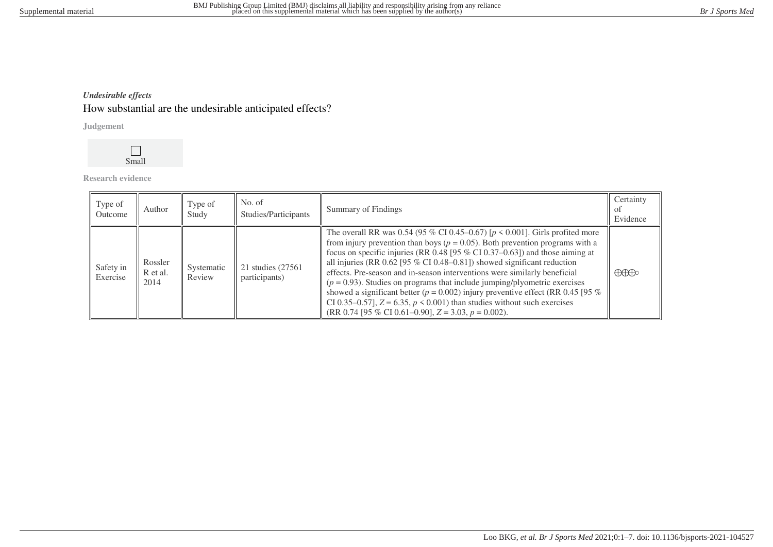# *Undesirable effects* How substantial are the undesirable anticipated effects?

**Judgement**



**Research evidence**

| Type of<br>Outcome    | Author                      | Type of<br>Study     | No. of<br>Studies/Participants      | <b>Summary of Findings</b>                                                                                                                                                                                                                                                                                                                                                                                                                                                                                                                                                                                                                                                                                                          | Certainty<br>0Ť<br>Evidence          |
|-----------------------|-----------------------------|----------------------|-------------------------------------|-------------------------------------------------------------------------------------------------------------------------------------------------------------------------------------------------------------------------------------------------------------------------------------------------------------------------------------------------------------------------------------------------------------------------------------------------------------------------------------------------------------------------------------------------------------------------------------------------------------------------------------------------------------------------------------------------------------------------------------|--------------------------------------|
| Safety in<br>Exercise | Rossler<br>R et al.<br>2014 | Systematic<br>Review | 21 studies (27561)<br>participants) | The overall RR was 0.54 (95 % CI 0.45–0.67) [ $p \le 0.001$ ]. Girls profited more<br>from injury prevention than boys ( $p = 0.05$ ). Both prevention programs with a<br>focus on specific injuries (RR 0.48 [95 $%$ CI 0.37–0.63]) and those aiming at<br>all injuries (RR 0.62 [95 % CI 0.48–0.81]) showed significant reduction<br>effects. Pre-season and in-season interventions were similarly beneficial<br>$(p = 0.93)$ . Studies on programs that include jumping/plyometric exercises<br>showed a significant better ( $p = 0.002$ ) injury preventive effect (RR 0.45 [95 %<br>CI 0.35–0.57], $Z = 6.35$ , $p \le 0.001$ ) than studies without such exercises<br>$(RR 0.74 [95 % CI 0.61–0.90], Z = 3.03, p = 0.002).$ | $\bigoplus\hspace{-0.15cm}\bigoplus$ |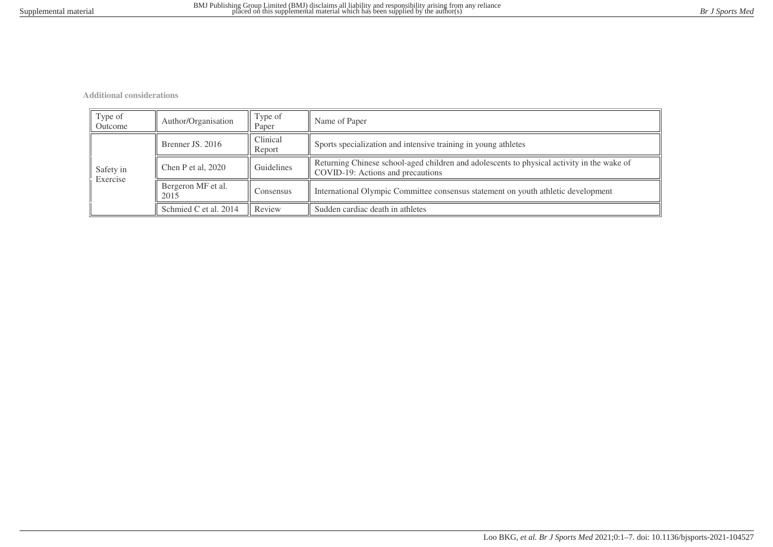**Additional considerations**

| Type of<br>Outcome    | Author/Organisation              | Type of<br>Paper   | Name of Paper                                                                                                                   |
|-----------------------|----------------------------------|--------------------|---------------------------------------------------------------------------------------------------------------------------------|
|                       | Brenner JS, 2016                 | Clinical<br>Report | Sports specialization and intensive training in young athletes                                                                  |
| Safety in<br>Exercise | Guidelines<br>Chen P et al, 2020 |                    | Returning Chinese school-aged children and adolescents to physical activity in the wake of<br>COVID-19: Actions and precautions |
|                       | Bergeron MF et al.<br>2015       | Consensus          | International Olympic Committee consensus statement on youth athletic development                                               |
|                       | Schmied C et al. 2014            | Review             | Sudden cardiac death in athletes                                                                                                |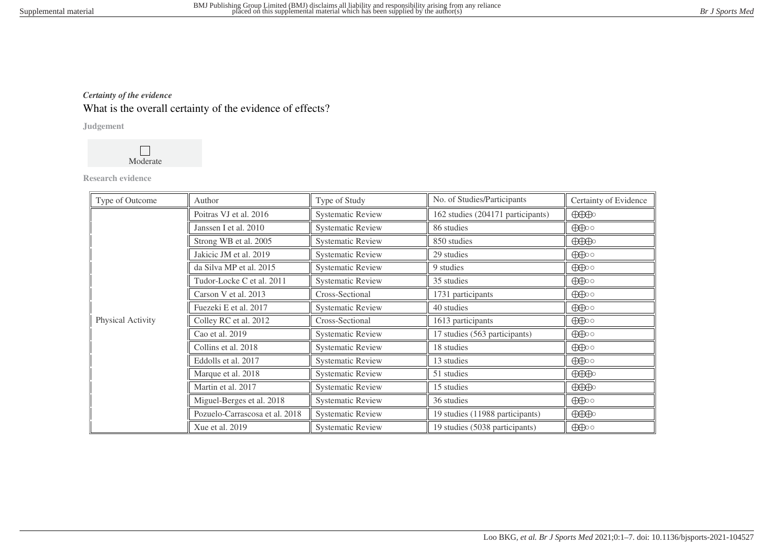# *Certainty of the evidence* What is the overall certainty of the evidence of effects?

## **Judgement**



## **Research evidence**

| Type of Outcome   | Author                         | Type of Study            | No. of Studies/Participants       | Certainty of Evidence                                                                                                                                                                                                                                                                                                                                                                                                                    |
|-------------------|--------------------------------|--------------------------|-----------------------------------|------------------------------------------------------------------------------------------------------------------------------------------------------------------------------------------------------------------------------------------------------------------------------------------------------------------------------------------------------------------------------------------------------------------------------------------|
|                   | Poitras VJ et al. 2016         | <b>Systematic Review</b> | 162 studies (204171 participants) | $\bigoplus\limits_{i=1}^n\bigoplus\limits_{i=1}^n\bigoplus\limits_{i=1}^n\bigoplus\limits_{i=1}^n\bigoplus\limits_{i=1}^n\bigoplus\limits_{i=1}^n\bigoplus\limits_{i=1}^n\bigoplus\limits_{i=1}^n\bigoplus\limits_{i=1}^n\bigoplus\limits_{i=1}^n\bigoplus\limits_{i=1}^n\bigoplus\limits_{i=1}^n\bigoplus\limits_{i=1}^n\bigoplus\limits_{i=1}^n\bigoplus\limits_{i=1}^n\bigoplus\limits_{i=1}^n\bigoplus\limits_{i=1}^$                |
|                   | Janssen I et al. 2010          | <b>Systematic Review</b> | 86 studies                        | $\bigoplus$                                                                                                                                                                                                                                                                                                                                                                                                                              |
|                   | Strong WB et al. 2005          | <b>Systematic Review</b> | 850 studies                       | $\bigoplus\hspace{-0.18cm}\bigoplus\hspace{-0.18cm}\bigoplus\hspace{-0.18cm}\bigoplus\hspace{-0.18cm}\bigoplus\hspace{-0.18cm}\bigoplus\hspace{-0.18cm}\bigoplus\hspace{-0.18cm}\bigoplus\hspace{-0.18cm}\bigoplus\hspace{-0.18cm}\bigoplus\hspace{-0.18cm}\bigoplus\hspace{-0.18cm}\bigoplus\hspace{-0.18cm}\bigoplus\hspace{-0.18cm}\bigoplus\hspace{-0.18cm}\bigoplus\hspace{-0.18cm}\bigoplus\hspace{-0.18cm}\bigoplus\hspace{-0.18$ |
|                   | Jakicic JM et al. 2019         | <b>Systematic Review</b> | 29 studies                        | $\bigoplus$                                                                                                                                                                                                                                                                                                                                                                                                                              |
|                   | da Silva MP et al. 2015        | <b>Systematic Review</b> | 9 studies                         | $\bigoplus$                                                                                                                                                                                                                                                                                                                                                                                                                              |
|                   | Tudor-Locke C et al. 2011      | <b>Systematic Review</b> | 35 studies                        | $\bigoplus$                                                                                                                                                                                                                                                                                                                                                                                                                              |
|                   | Carson V et al. 2013           | Cross-Sectional          | 1731 participants                 | $\bigoplus$                                                                                                                                                                                                                                                                                                                                                                                                                              |
| Physical Activity | Fuezeki E et al. 2017          | <b>Systematic Review</b> | 40 studies                        | $\bigoplus$                                                                                                                                                                                                                                                                                                                                                                                                                              |
|                   | Colley RC et al. 2012          | Cross-Sectional          | 1613 participants                 | $\bigoplus$                                                                                                                                                                                                                                                                                                                                                                                                                              |
|                   | Cao et al. 2019                | <b>Systematic Review</b> | 17 studies (563 participants)     | $\bigoplus$                                                                                                                                                                                                                                                                                                                                                                                                                              |
|                   | Collins et al. 2018            | <b>Systematic Review</b> | 18 studies                        | $\bigoplus$                                                                                                                                                                                                                                                                                                                                                                                                                              |
|                   | Eddolls et al. 2017            | <b>Systematic Review</b> | 13 studies                        | $\bigoplus$                                                                                                                                                                                                                                                                                                                                                                                                                              |
|                   | Marque et al. 2018             | <b>Systematic Review</b> | 51 studies                        | $\bigoplus\hspace{-0.15cm}\bigoplus\hspace{-0.15cm}\bigoplus\hspace{-0.15cm}\bigoplus\hspace{-0.15cm}\bigoplus\hspace{-0.15cm}\bigoplus\hspace{-0.15cm}\bigoplus\hspace{-0.15cm}\bigoplus\hspace{-0.15cm}\bigoplus\hspace{-0.15cm}\bigoplus\hspace{-0.15cm}\bigoplus\hspace{-0.15cm}\bigoplus\hspace{-0.15cm}\bigoplus\hspace{-0.15cm}\bigoplus\hspace{-0.15cm}\bigoplus\hspace{-0.15cm}\bigoplus\hspace{-0.15cm}\bigoplus\hspace{-0.15$ |
|                   | Martin et al. 2017             | <b>Systematic Review</b> | 15 studies                        | $\bigoplus\limits_{i=1}^n\bigoplus\limits_{i=1}^n\bigoplus\limits_{i=1}^n\bigoplus\limits_{i=1}^n\bigoplus\limits_{i=1}^n\bigoplus\limits_{i=1}^n\bigoplus\limits_{i=1}^n\bigoplus\limits_{i=1}^n\bigoplus\limits_{i=1}^n\bigoplus\limits_{i=1}^n\bigoplus\limits_{i=1}^n\bigoplus\limits_{i=1}^n\bigoplus\limits_{i=1}^n\bigoplus\limits_{i=1}^n\bigoplus\limits_{i=1}^n\bigoplus\limits_{i=1}^n\bigoplus\limits_{i=1}^$                |
|                   | Miguel-Berges et al. 2018      | <b>Systematic Review</b> | 36 studies                        | $\bigoplus$                                                                                                                                                                                                                                                                                                                                                                                                                              |
|                   | Pozuelo-Carrascosa et al. 2018 | <b>Systematic Review</b> | 19 studies (11988 participants)   | $\bigoplus\hspace{-0.18cm}\bigoplus\hspace{-0.18cm}\bigoplus\hspace{-0.18cm}\bigoplus\hspace{-0.18cm}\bigoplus\hspace{-0.18cm}\bigoplus\hspace{-0.18cm}\bigoplus\hspace{-0.18cm}\bigoplus\hspace{-0.18cm}\bigoplus\hspace{-0.18cm}\bigoplus\hspace{-0.18cm}\bigoplus\hspace{-0.18cm}\bigoplus\hspace{-0.18cm}\bigoplus\hspace{-0.18cm}\bigoplus\hspace{-0.18cm}\bigoplus\hspace{-0.18cm}\bigoplus\hspace{-0.18cm}\bigoplus\hspace{-0.18$ |
|                   | Xue et al. 2019                | <b>Systematic Review</b> | 19 studies (5038 participants)    | $\bigoplus$                                                                                                                                                                                                                                                                                                                                                                                                                              |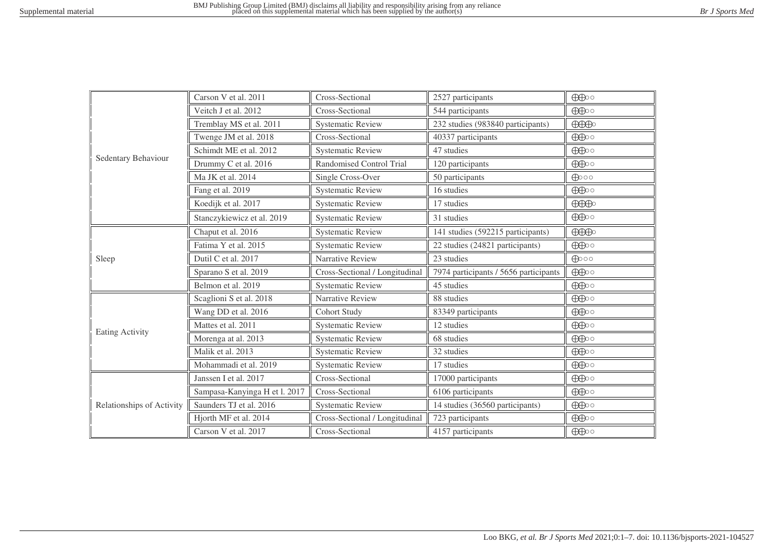|                           | Carson V et al. 2011          | Cross-Sectional                | 2527 participants                     | $\bigoplus$                          |
|---------------------------|-------------------------------|--------------------------------|---------------------------------------|--------------------------------------|
|                           | Veitch J et al. 2012          | Cross-Sectional                | 544 participants                      | $\bigoplus$                          |
|                           | Tremblay MS et al. 2011       | <b>Systematic Review</b>       | 232 studies (983840 participants)     | $\bigoplus\hspace{-0.18cm}\bigoplus$ |
|                           | Twenge JM et al. 2018         | Cross-Sectional                | 40337 participants                    | $\bigoplus$                          |
|                           | Schimdt ME et al. 2012        | <b>Systematic Review</b>       | 47 studies                            | $\bigoplus$                          |
| Sedentary Behaviour       | Drummy C et al. 2016          | Randomised Control Trial       | 120 participants                      | $\bigoplus$                          |
|                           | Ma JK et al. 2014             | Single Cross-Over              | 50 participants                       | $\bigoplus$ 00                       |
|                           | Fang et al. 2019              | <b>Systematic Review</b>       | 16 studies                            | $\bigoplus$                          |
|                           | Koedijk et al. 2017           | <b>Systematic Review</b>       | 17 studies                            | $\bigoplus\hspace{-0.15cm}\bigoplus$ |
|                           | Stanczykiewicz et al. 2019    | <b>Systematic Review</b>       | 31 studies                            | $\bigoplus$                          |
|                           | Chaput et al. 2016            | <b>Systematic Review</b>       | 141 studies (592215 participants)     | $\bigoplus\limits_{i=1}^n\mathbb{R}$ |
|                           | Fatima Y et al. 2015          | <b>Systematic Review</b>       | 22 studies (24821 participants)       | $\bigoplus$                          |
| Sleep                     | Dutil C et al. 2017           | Narrative Review               | 23 studies                            | $\bigoplus$ 00                       |
|                           | Sparano S et al. 2019         | Cross-Sectional / Longitudinal | 7974 participants / 5656 participants | $\bigoplus$                          |
|                           | Belmon et al. 2019            | <b>Systematic Review</b>       | 45 studies                            | $\bigoplus$                          |
|                           | Scaglioni S et al. 2018       | Narrative Review               | 88 studies                            | $\bigoplus$                          |
|                           | Wang DD et al. 2016           | <b>Cohort Study</b>            | 83349 participants                    | $\bigoplus$                          |
| <b>Eating Activity</b>    | Mattes et al. 2011            | <b>Systematic Review</b>       | 12 studies                            | $\bigoplus$                          |
|                           | Morenga at al. 2013           | <b>Systematic Review</b>       | 68 studies                            | $\bigoplus$                          |
|                           | Malik et al. 2013             | <b>Systematic Review</b>       | 32 studies                            | $\bigoplus$                          |
|                           | Mohammadi et al. 2019         | <b>Systematic Review</b>       | 17 studies                            | $\bigoplus$                          |
|                           | Janssen I et al. 2017         | Cross-Sectional                | 17000 participants                    | $\bigoplus$                          |
|                           | Sampasa-Kanyinga H et l. 2017 | Cross-Sectional                | 6106 participants                     | $\bigoplus$                          |
| Relationships of Activity | Saunders TJ et al. 2016       | <b>Systematic Review</b>       | 14 studies (36560 participants)       | $\bigoplus$                          |
|                           | Hjorth MF et al. 2014         | Cross-Sectional / Longitudinal | 723 participants                      | $\bigoplus$                          |
|                           | Carson V et al. 2017          | Cross-Sectional                | 4157 participants                     | $\bigoplus$                          |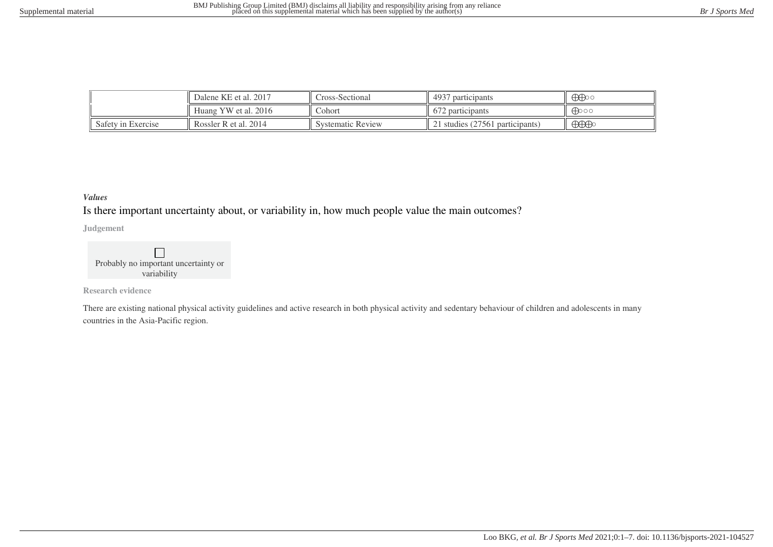|                    | Dalene KE et al. 2017 | Cross-Sectional          | 4937<br>participants           | $\bigoplus$                                                                                                                                                                                                                                                                                                                                                                                                                              |
|--------------------|-----------------------|--------------------------|--------------------------------|------------------------------------------------------------------------------------------------------------------------------------------------------------------------------------------------------------------------------------------------------------------------------------------------------------------------------------------------------------------------------------------------------------------------------------------|
|                    | Huang YW et al. 2016  | Cohort                   | $\sqrt{2}$<br>672 participants | ക്കാറ                                                                                                                                                                                                                                                                                                                                                                                                                                    |
| Safety in Exercise | Rossler R et al. 2014 | <b>Systematic Review</b> | 1 studies (27561 participants) | $\bigoplus\hspace{-0.18cm}\bigoplus\hspace{-0.18cm}\bigoplus\hspace{-0.18cm}\bigoplus\hspace{-0.18cm}\bigoplus\hspace{-0.18cm}\bigoplus\hspace{-0.18cm}\bigoplus\hspace{-0.18cm}\bigoplus\hspace{-0.18cm}\bigoplus\hspace{-0.18cm}\bigoplus\hspace{-0.18cm}\bigoplus\hspace{-0.18cm}\bigoplus\hspace{-0.18cm}\bigoplus\hspace{-0.18cm}\bigoplus\hspace{-0.18cm}\bigoplus\hspace{-0.18cm}\bigoplus\hspace{-0.18cm}\bigoplus\hspace{-0.18$ |

## *Values*

Is there important uncertainty about, or variability in, how much people value the main outcomes?

**Judgement**

 $\Box$ Probably no important uncertainty or variability

**Research evidence**

There are existing national physical activity guidelines and active research in both physical activity and sedentary behaviour of children and adolescents in many countries in the Asia-Pacific region.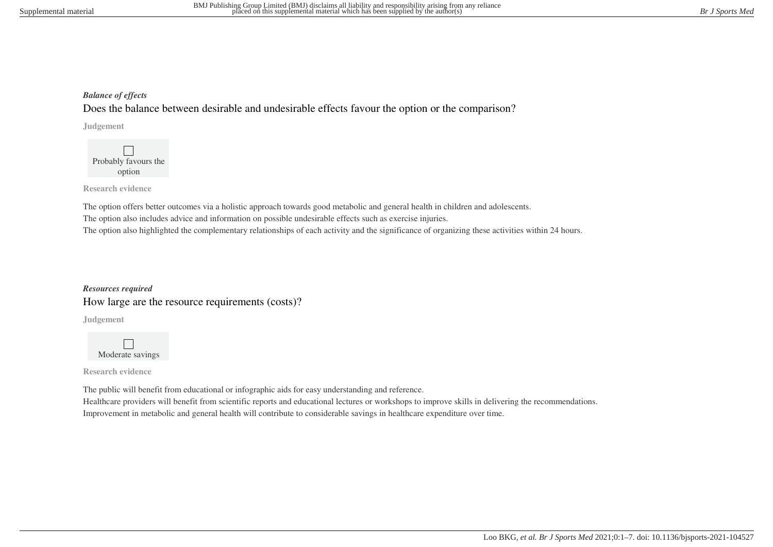## *Balance of effects*

Does the balance between desirable and undesirable effects favour the option or the comparison?

**Judgement**

 $\Box$ Probably favours the option

**Research evidence**

The option offers better outcomes via a holistic approach towards good metabolic and general health in children and adolescents. The option also includes advice and information on possible undesirable effects such as exercise injuries. The option also highlighted the complementary relationships of each activity and the significance of organizing these activities within 24 hours.

*Resources required* How large are the resource requirements (costs)?

**Judgement**

 $\Box$ Moderate savings

**Research evidence**

The public will benefit from educational or infographic aids for easy understanding and reference. Healthcare providers will benefit from scientific reports and educational lectures or workshops to improve skills in delivering the recommendations. Improvement in metabolic and general health will contribute to considerable savings in healthcare expenditure over time.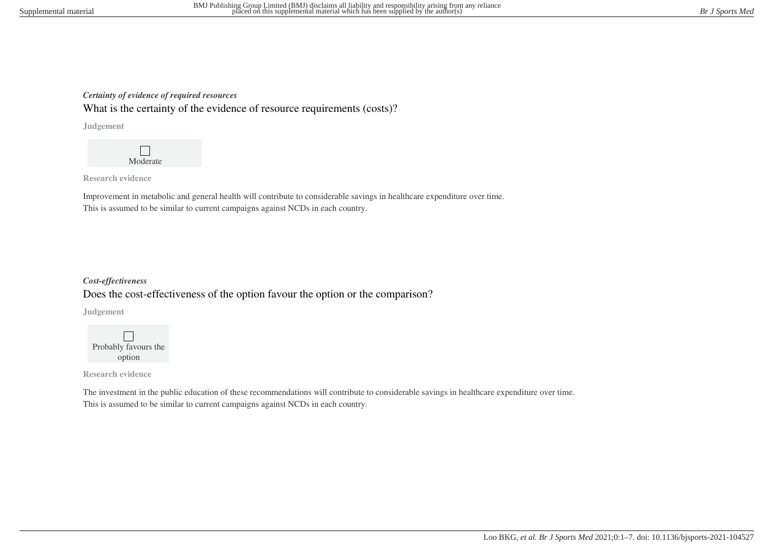## *Certainty of evidence of required resources*

What is the certainty of the evidence of resource requirements (costs)?

**Judgement**



**Research evidence**

Improvement in metabolic and general health will contribute to considerable savings in healthcare expenditure over time. This is assumed to be similar to current campaigns against NCDs in each country.

# *Cost-effectiveness* Does the cost-effectiveness of the option favour the option or the comparison?

**Judgement**



**Research evidence**

The investment in the public education of these recommendations will contribute to considerable savings in healthcare expenditure over time. This is assumed to be similar to current campaigns against NCDs in each country.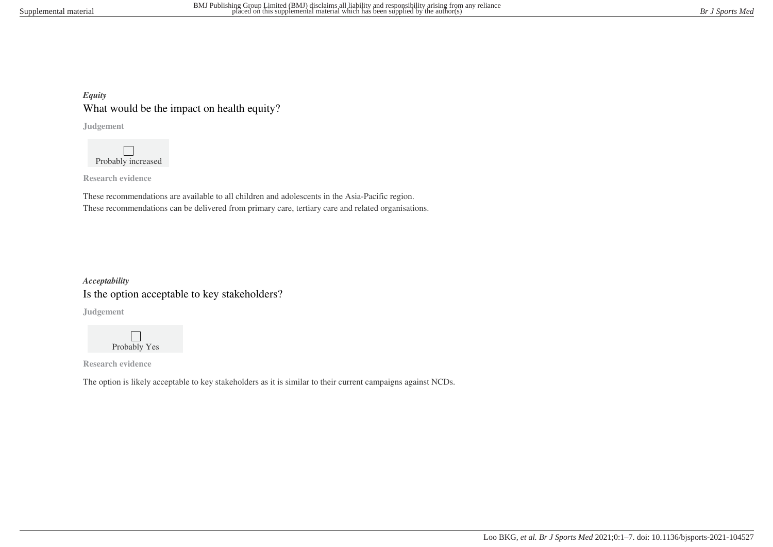## *Equity* What would be the impact on health equity?

**Judgement**

 $\Box$ Probably increased

**Research evidence**

These recommendations are available to all children and adolescents in the Asia-Pacific region. These recommendations can be delivered from primary care, tertiary care and related organisations.

# *Acceptability* Is the option acceptable to key stakeholders?

**Judgement**



**Research evidence**

The option is likely acceptable to key stakeholders as it is similar to their current campaigns against NCDs.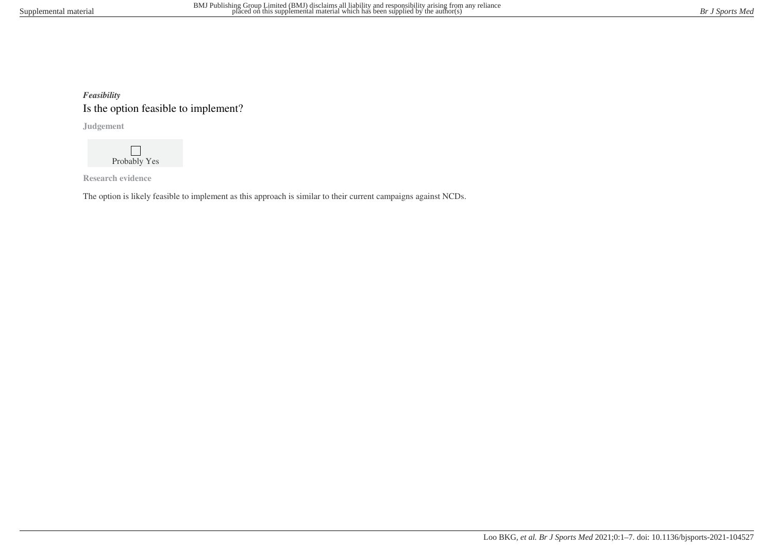# *Feasibility* Is the option feasible to implement?

**Judgement**

 $\mathbf{L}$ Probably Yes

**Research evidence**

The option is likely feasible to implement as this approach is similar to their current campaigns against NCDs.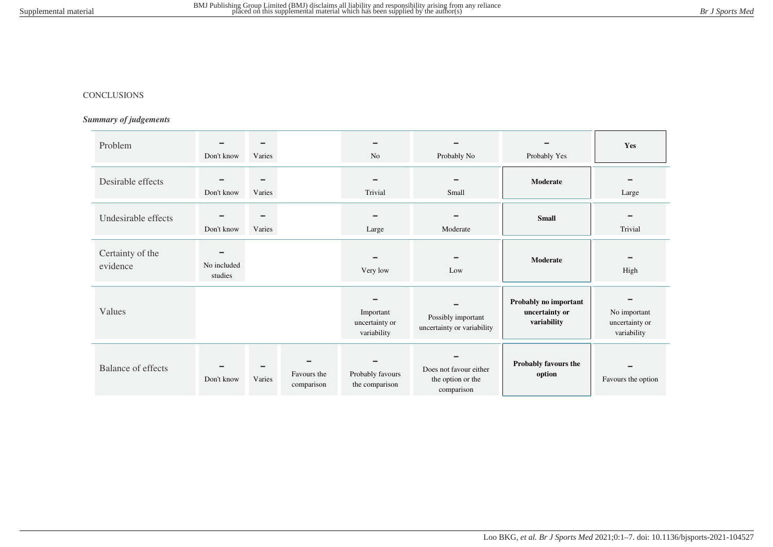#### CONCLUSIONS

## *Summary of judgements*

| Problem                      | -<br>Don't know                    | -<br>Varies        |                           | N <sub>o</sub>                             | Probably No                                               | Probably Yes                                           | Yes                                           |
|------------------------------|------------------------------------|--------------------|---------------------------|--------------------------------------------|-----------------------------------------------------------|--------------------------------------------------------|-----------------------------------------------|
| Desirable effects            | Don't know                         | $\equiv$<br>Varies |                           | Trivial                                    | Small                                                     | Moderate                                               | Large                                         |
| Undesirable effects          | Don't know                         | $\equiv$<br>Varies |                           | Large                                      | Moderate                                                  | <b>Small</b>                                           | $\equiv$<br>Trivial                           |
| Certainty of the<br>evidence | $\equiv$<br>No included<br>studies |                    |                           | Very low                                   | Low                                                       | Moderate                                               | High                                          |
| Values                       |                                    |                    |                           | Important<br>uncertainty or<br>variability | Possibly important<br>uncertainty or variability          | Probably no important<br>uncertainty or<br>variability | No important<br>uncertainty or<br>variability |
| <b>Balance of effects</b>    | Don't know                         | Varies             | Favours the<br>comparison | Probably favours<br>the comparison         | Does not favour either<br>the option or the<br>comparison | Probably favours the<br>option                         | Favours the option                            |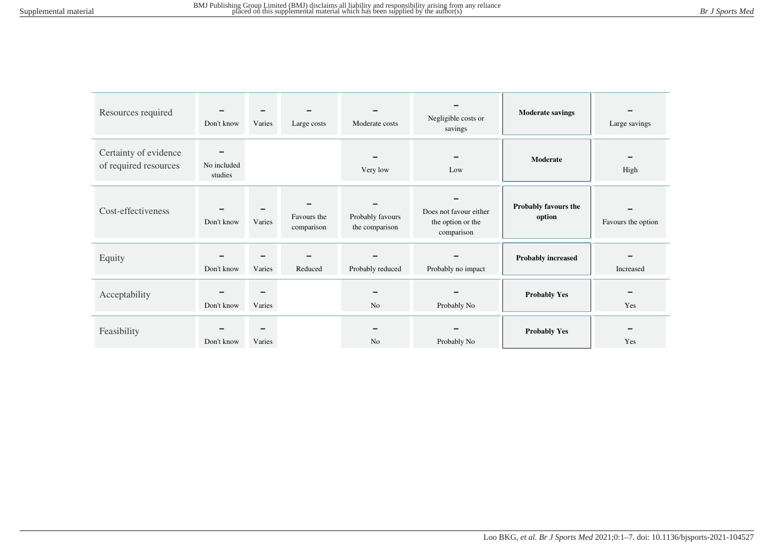| Resources required                             | Don't know                         | Varies             | Large costs               | Moderate costs                     | Negligible costs or<br>savings                            | <b>Moderate savings</b>        | Large savings      |
|------------------------------------------------|------------------------------------|--------------------|---------------------------|------------------------------------|-----------------------------------------------------------|--------------------------------|--------------------|
| Certainty of evidence<br>of required resources | $\equiv$<br>No included<br>studies |                    |                           | Very low                           | <b>COL</b><br>Low                                         | Moderate                       | High               |
| Cost-effectiveness                             | Don't know                         | Varies             | Favours the<br>comparison | Probably favours<br>the comparison | Does not favour either<br>the option or the<br>comparison | Probably favours the<br>option | Favours the option |
| Equity                                         | Don't know                         | Varies             | Reduced                   | Probably reduced                   | Probably no impact                                        | <b>Probably increased</b>      | Increased          |
| Acceptability                                  | Don't know                         | Varies             |                           | N <sub>o</sub>                     | Probably No                                               | <b>Probably Yes</b>            | Yes                |
| Feasibility                                    | Don't know                         | $\equiv$<br>Varies |                           | N <sub>o</sub>                     | Probably No                                               | <b>Probably Yes</b>            | Yes                |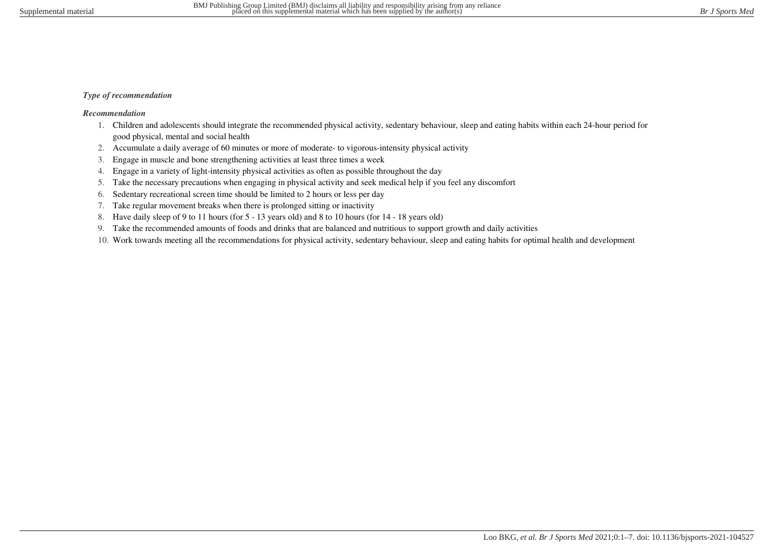## *Type of recommendation*

## *Recommendation*

- 1. Children and adolescents should integrate the recommended physical activity, sedentary behaviour, sleep and eating habits within each 24-hour period for good physical, mental and social health
- 2. Accumulate a daily average of 60 minutes or more of moderate- to vigorous-intensity physical activity
- 3. Engage in muscle and bone strengthening activities at least three times a week
- 4. Engage in a variety of light-intensity physical activities as often as possible throughout the day
- 5. Take the necessary precautions when engaging in physical activity and seek medical help if you feel any discomfort
- 6. Sedentary recreational screen time should be limited to 2 hours or less per day
- 7. Take regular movement breaks when there is prolonged sitting or inactivity
- 8. Have daily sleep of 9 to 11 hours (for 5 13 years old) and 8 to 10 hours (for 14 18 years old)
- 9. Take the recommended amounts of foods and drinks that are balanced and nutritious to support growth and daily activities
- 10. Work towards meeting all the recommendations for physical activity, sedentary behaviour, sleep and eating habits for optimal health and development